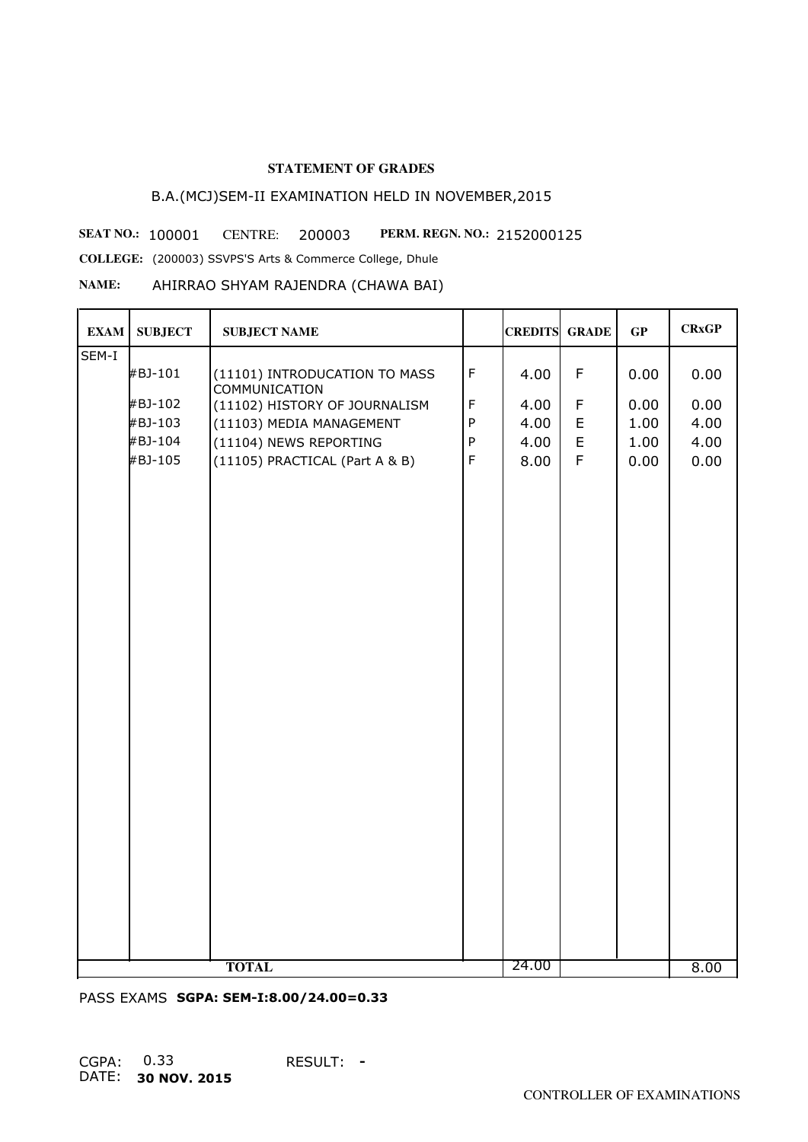# B.A.(MCJ)SEM-II EXAMINATION HELD IN NOVEMBER,2015

**SEAT NO.: 100001 CENTRE: 200003 PERM. REGN. NO.: 2152000125 COLLEGE:** (200003) SSVPS'S Arts & Commerce College, Dhule

**NAME:** AHIRRAO SHYAM RAJENDRA (CHAWA BAI)

| <b>EXAM</b> | <b>SUBJECT</b> | <b>SUBJECT NAME</b>                                   |              | <b>CREDITS GRADE</b> |             | GP   | <b>CRxGP</b> |
|-------------|----------------|-------------------------------------------------------|--------------|----------------------|-------------|------|--------------|
| SEM-I       |                |                                                       |              |                      |             |      |              |
|             | #BJ-101        | (11101) INTRODUCATION TO MASS<br><b>COMMUNICATION</b> | $\mathsf F$  | 4.00                 | F           | 0.00 | 0.00         |
|             | #BJ-102        | (11102) HISTORY OF JOURNALISM                         | $\mathsf F$  | 4.00                 | F           | 0.00 | 0.00         |
|             | #BJ-103        | (11103) MEDIA MANAGEMENT                              | $\mathsf{P}$ | 4.00                 | E           | 1.00 | 4.00         |
|             | #BJ-104        | (11104) NEWS REPORTING                                | ${\sf P}$    | 4.00                 | E           | 1.00 | 4.00         |
|             | #BJ-105        | (11105) PRACTICAL (Part A & B)                        | $\mathsf F$  | 8.00                 | $\mathsf F$ | 0.00 | 0.00         |
|             |                |                                                       |              | 24.00                |             |      |              |
|             |                | <b>TOTAL</b>                                          |              |                      |             |      | 8.00         |

PASS EXAMS **SGPA: SEM-I:8.00/24.00=0.33**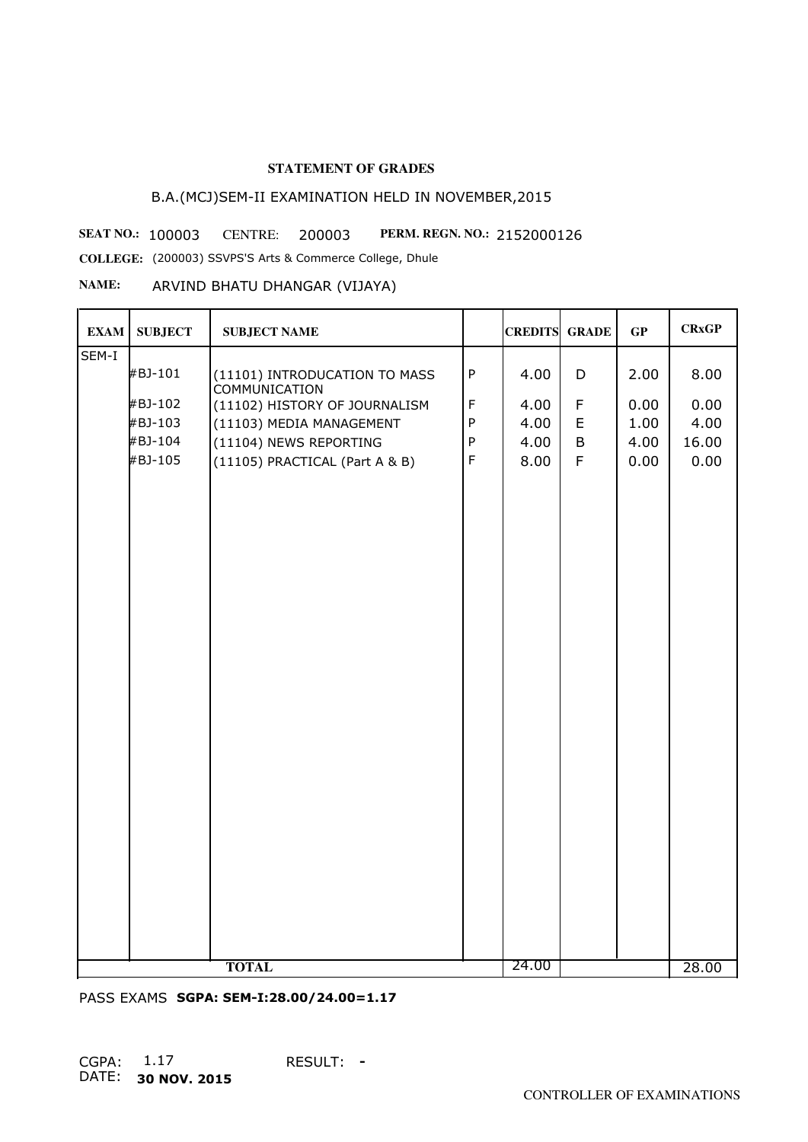# B.A.(MCJ)SEM-II EXAMINATION HELD IN NOVEMBER,2015

**SEAT NO.: 100003** CENTRE: 200003 PERM. REGN. NO.: 2152000126

**COLLEGE:** (200003) SSVPS'S Arts & Commerce College, Dhule

## **NAME:** ARVIND BHATU DHANGAR (VIJAYA)

| <b>EXAM</b> | <b>SUBJECT</b> | <b>SUBJECT NAME</b>                                   |              | <b>CREDITS GRADE</b> |             | GP   | <b>CRxGP</b> |
|-------------|----------------|-------------------------------------------------------|--------------|----------------------|-------------|------|--------------|
| SEM-I       |                |                                                       |              |                      |             |      |              |
|             | #BJ-101        | (11101) INTRODUCATION TO MASS<br><b>COMMUNICATION</b> | $\sf P$      | 4.00                 | D           | 2.00 | 8.00         |
|             | #BJ-102        | (11102) HISTORY OF JOURNALISM                         | $\mathsf F$  | 4.00                 | F           | 0.00 | 0.00         |
|             | #BJ-103        | (11103) MEDIA MANAGEMENT                              | $\mathsf{P}$ | 4.00                 | E           | 1.00 | 4.00         |
|             | #BJ-104        | (11104) NEWS REPORTING                                | ${\sf P}$    | 4.00                 | B           | 4.00 | 16.00        |
|             | #BJ-105        | (11105) PRACTICAL (Part A & B)                        | $\mathsf F$  | 8.00                 | $\mathsf F$ | 0.00 | 0.00         |
|             |                |                                                       |              | 24.00                |             |      |              |
|             |                | <b>TOTAL</b>                                          |              |                      |             |      | 28.00        |

PASS EXAMS **SGPA: SEM-I:28.00/24.00=1.17**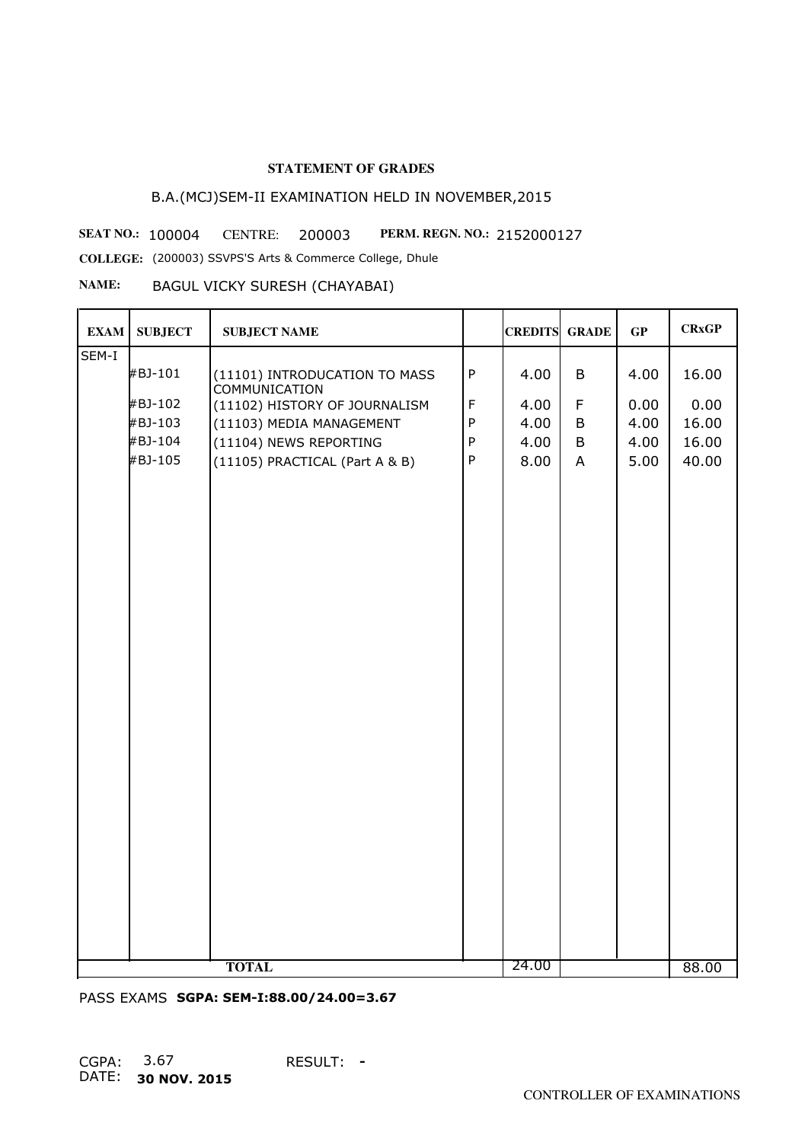# B.A.(MCJ)SEM-II EXAMINATION HELD IN NOVEMBER,2015

**SEAT NO.: 100004 CENTRE: 200003 PERM. REGN. NO.: 2152000127** 

**COLLEGE:** (200003) SSVPS'S Arts & Commerce College, Dhule

#### **NAME:** BAGUL VICKY SURESH (CHAYABAI)

| <b>EXAM</b> | <b>SUBJECT</b> | <b>SUBJECT NAME</b>                                   |              | <b>CREDITS GRADE</b> |                | GP   | <b>CRxGP</b> |
|-------------|----------------|-------------------------------------------------------|--------------|----------------------|----------------|------|--------------|
| SEM-I       |                |                                                       |              |                      |                |      |              |
|             | #BJ-101        | (11101) INTRODUCATION TO MASS<br><b>COMMUNICATION</b> | ${\sf P}$    | 4.00                 | B              | 4.00 | 16.00        |
|             | #BJ-102        | (11102) HISTORY OF JOURNALISM                         | $\mathsf F$  | 4.00                 | $\mathsf F$    | 0.00 | 0.00         |
|             | #BJ-103        | (11103) MEDIA MANAGEMENT                              | $\mathsf{P}$ | 4.00                 | B              | 4.00 | 16.00        |
|             | #BJ-104        | (11104) NEWS REPORTING                                | ${\sf P}$    | 4.00                 | B              | 4.00 | 16.00        |
|             | #BJ-105        | (11105) PRACTICAL (Part A & B)                        | ${\sf P}$    | 8.00                 | $\overline{A}$ | 5.00 | 40.00        |
|             |                |                                                       |              | 24.00                |                |      |              |
|             |                | <b>TOTAL</b>                                          |              |                      |                |      | 88.00        |

PASS EXAMS **SGPA: SEM-I:88.00/24.00=3.67**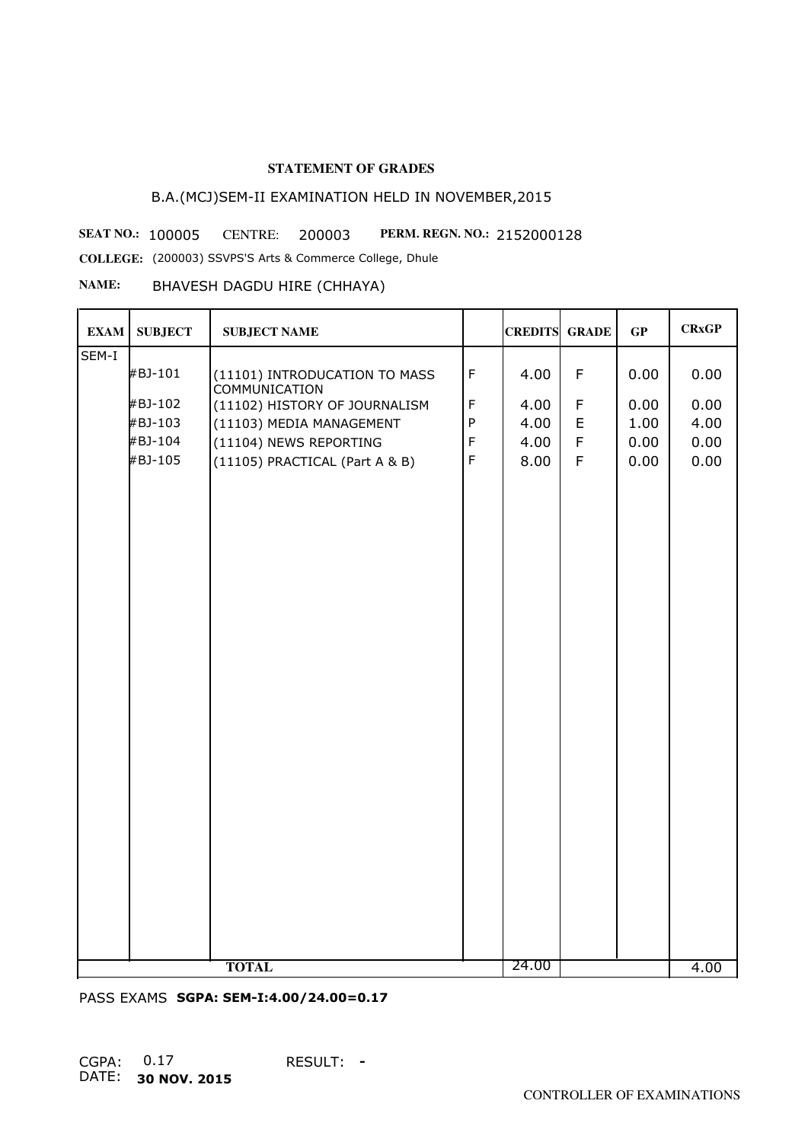# B.A.(MCJ)SEM-II EXAMINATION HELD IN NOVEMBER,2015

**SEAT NO.: 100005 CENTRE: 200003 PERM. REGN. NO.: 2152000128** 

**COLLEGE:** (200003) SSVPS'S Arts & Commerce College, Dhule

#### **NAME:** BHAVESH DAGDU HIRE (CHHAYA)

| <b>EXAM</b> | <b>SUBJECT</b> | <b>SUBJECT NAME</b>                                   |             | <b>CREDITS GRADE</b> |             | GP   | <b>CRxGP</b> |
|-------------|----------------|-------------------------------------------------------|-------------|----------------------|-------------|------|--------------|
| SEM-I       |                |                                                       |             |                      |             |      |              |
|             | #BJ-101        | (11101) INTRODUCATION TO MASS<br><b>COMMUNICATION</b> | $\mathsf F$ | 4.00                 | $\mathsf F$ | 0.00 | 0.00         |
|             | #BJ-102        | (11102) HISTORY OF JOURNALISM                         | $\mathsf F$ | 4.00                 | $\mathsf F$ | 0.00 | 0.00         |
|             | #BJ-103        | (11103) MEDIA MANAGEMENT                              | ${\sf P}$   | 4.00                 | $\mathsf E$ | 1.00 | 4.00         |
|             | #BJ-104        | (11104) NEWS REPORTING                                | $\mathsf F$ | 4.00                 | $\mathsf F$ | 0.00 | 0.00         |
|             | #BJ-105        | (11105) PRACTICAL (Part A & B)                        | $\mathsf F$ | 8.00                 | $\mathsf F$ | 0.00 | 0.00         |
|             |                |                                                       |             |                      |             |      |              |
|             |                | <b>TOTAL</b>                                          |             | 24.00                |             |      | 4.00         |

PASS EXAMS **SGPA: SEM-I:4.00/24.00=0.17**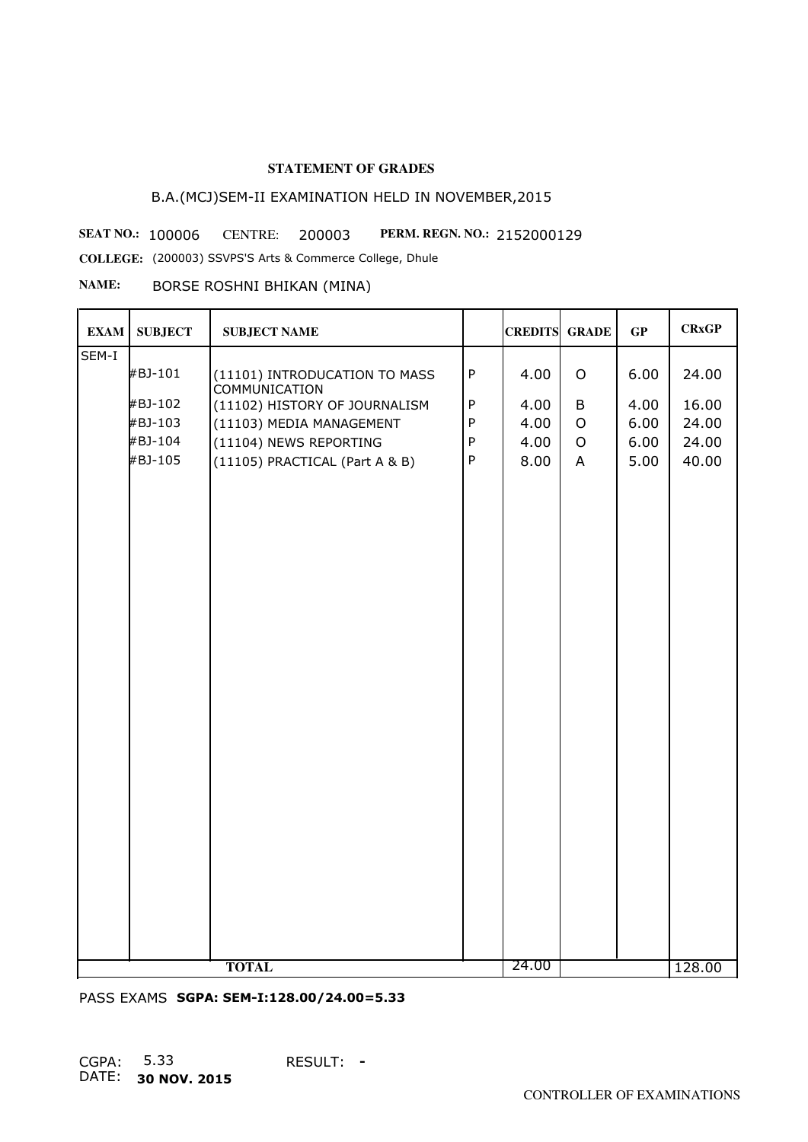# B.A.(MCJ)SEM-II EXAMINATION HELD IN NOVEMBER,2015

**SEAT NO.: 100006** CENTRE: 200003 **PERM. REGN. NO.: 2152000129** 

**COLLEGE:** (200003) SSVPS'S Arts & Commerce College, Dhule

## **NAME:** BORSE ROSHNI BHIKAN (MINA)

| <b>EXAM</b> | <b>SUBJECT</b> | <b>SUBJECT NAME</b>                                   |              | <b>CREDITS GRADE</b> |                | GP   | <b>CRxGP</b> |
|-------------|----------------|-------------------------------------------------------|--------------|----------------------|----------------|------|--------------|
| SEM-I       |                |                                                       |              |                      |                |      |              |
|             | #BJ-101        | (11101) INTRODUCATION TO MASS<br><b>COMMUNICATION</b> | ${\sf P}$    | 4.00                 | $\mathsf O$    | 6.00 | 24.00        |
|             | #BJ-102        | (11102) HISTORY OF JOURNALISM                         | $\mathsf{P}$ | 4.00                 | B              | 4.00 | 16.00        |
|             | #BJ-103        | (11103) MEDIA MANAGEMENT                              | $\mathsf{P}$ | 4.00                 | $\circ$        | 6.00 | 24.00        |
|             | #BJ-104        | (11104) NEWS REPORTING                                | ${\sf P}$    | 4.00                 | $\mathsf O$    | 6.00 | 24.00        |
|             | #BJ-105        | (11105) PRACTICAL (Part A & B)                        | ${\sf P}$    | 8.00                 | $\overline{A}$ | 5.00 | 40.00        |
|             |                | <b>TOTAL</b>                                          |              | 24.00                |                |      | 128.00       |
|             |                |                                                       |              |                      |                |      |              |

PASS EXAMS **SGPA: SEM-I:128.00/24.00=5.33**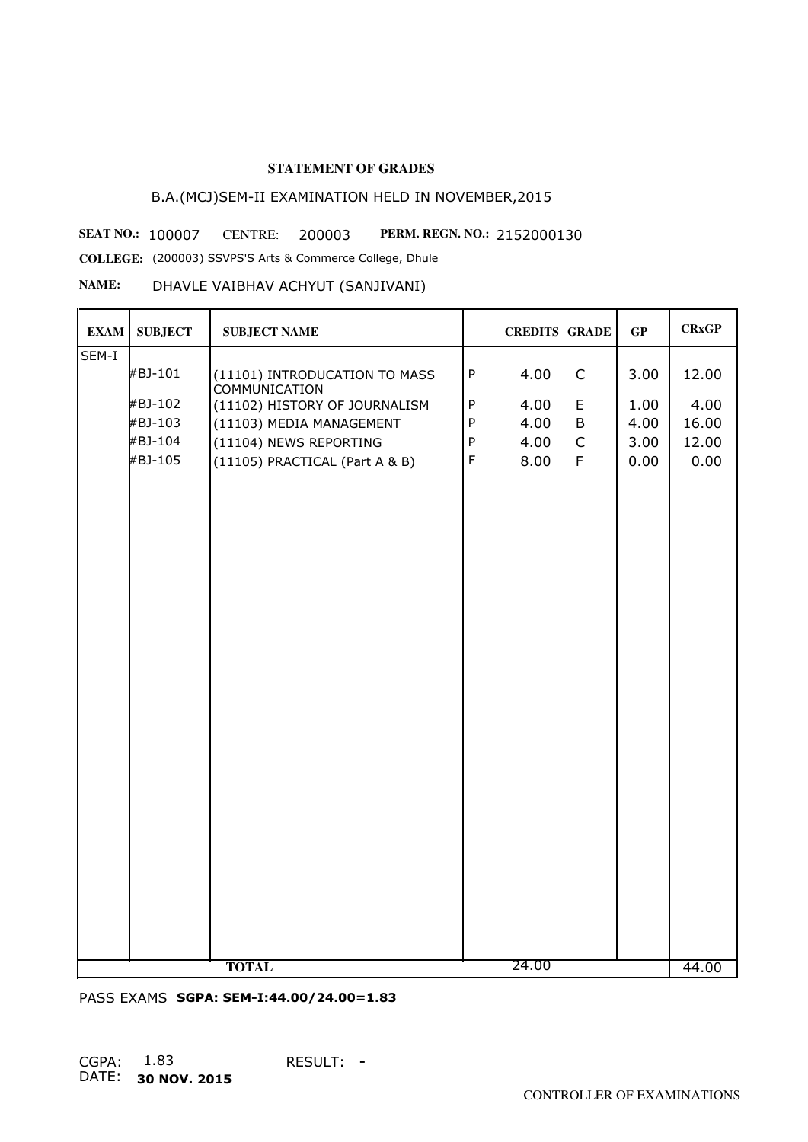# B.A.(MCJ)SEM-II EXAMINATION HELD IN NOVEMBER,2015

**SEAT NO.: 100007** CENTRE: 200003 **PERM. REGN. NO.: 2152000130** 

**COLLEGE:** (200003) SSVPS'S Arts & Commerce College, Dhule

#### **NAME:** DHAVLE VAIBHAV ACHYUT (SANJIVANI)

| <b>EXAM</b> | <b>SUBJECT</b> | <b>SUBJECT NAME</b>                                   |             | <b>CREDITS GRADE</b> |             | GP   | <b>CRxGP</b> |
|-------------|----------------|-------------------------------------------------------|-------------|----------------------|-------------|------|--------------|
| SEM-I       |                |                                                       |             |                      |             |      |              |
|             | #BJ-101        | (11101) INTRODUCATION TO MASS<br><b>COMMUNICATION</b> | $\sf P$     | 4.00                 | $\mathsf C$ | 3.00 | 12.00        |
|             | #BJ-102        | (11102) HISTORY OF JOURNALISM                         | $\sf P$     | 4.00                 | E           | 1.00 | 4.00         |
|             | #BJ-103        | (11103) MEDIA MANAGEMENT                              | $\sf P$     | 4.00                 | B           | 4.00 | 16.00        |
|             | #BJ-104        | (11104) NEWS REPORTING                                | $\sf P$     | 4.00                 | $\mathsf C$ | 3.00 | 12.00        |
|             | #BJ-105        | (11105) PRACTICAL (Part A & B)                        | $\mathsf F$ | 8.00                 | F           | 0.00 | 0.00         |
|             |                |                                                       |             |                      |             |      |              |
|             |                |                                                       |             |                      |             |      |              |
|             |                |                                                       |             |                      |             |      |              |
|             |                |                                                       |             |                      |             |      |              |
|             |                | <b>TOTAL</b>                                          |             | 24.00                |             |      | 44.00        |

PASS EXAMS **SGPA: SEM-I:44.00/24.00=1.83**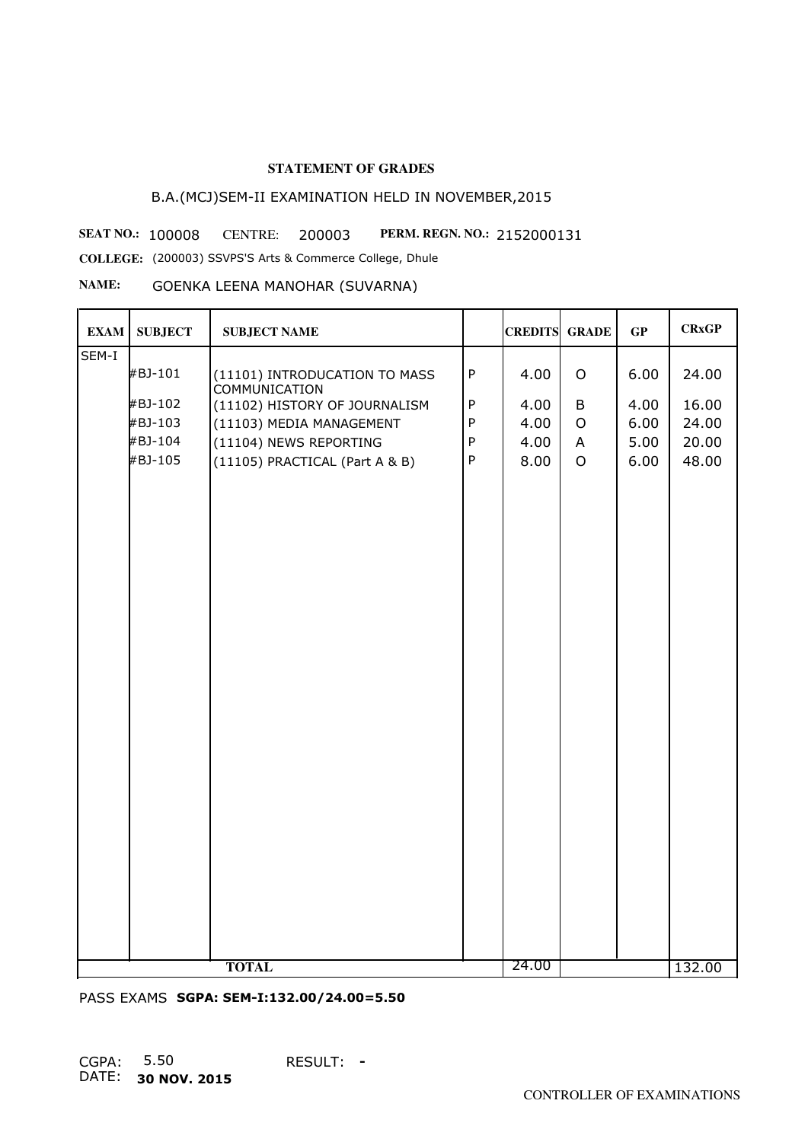# B.A.(MCJ)SEM-II EXAMINATION HELD IN NOVEMBER,2015

**SEAT NO.: 100008** CENTRE: 200003 PERM. REGN. NO.: 2152000131

**COLLEGE:** (200003) SSVPS'S Arts & Commerce College, Dhule

## **NAME:** GOENKA LEENA MANOHAR (SUVARNA)

| <b>EXAM</b> | <b>SUBJECT</b> | <b>SUBJECT NAME</b>                                   |              | <b>CREDITS GRADE</b> |                | GP   | <b>CRxGP</b> |
|-------------|----------------|-------------------------------------------------------|--------------|----------------------|----------------|------|--------------|
| SEM-I       |                |                                                       |              |                      |                |      |              |
|             | #BJ-101        | (11101) INTRODUCATION TO MASS<br><b>COMMUNICATION</b> | $\sf P$      | 4.00                 | $\mathsf O$    | 6.00 | 24.00        |
|             | #BJ-102        | (11102) HISTORY OF JOURNALISM                         | $\sf P$      | 4.00                 | B              | 4.00 | 16.00        |
|             | #BJ-103        | (11103) MEDIA MANAGEMENT                              | ${\sf P}$    | 4.00                 | $\circ$        | 6.00 | 24.00        |
|             | #BJ-104        | (11104) NEWS REPORTING                                | ${\sf P}$    | 4.00                 | $\mathsf{A}$   | 5.00 | 20.00        |
|             | #BJ-105        | (11105) PRACTICAL (Part A & B)                        | $\mathsf{P}$ | 8.00                 | $\overline{O}$ | 6.00 | 48.00        |
|             |                |                                                       |              |                      |                |      |              |
|             |                | <b>TOTAL</b>                                          |              | 24.00                |                |      | 132.00       |

PASS EXAMS **SGPA: SEM-I:132.00/24.00=5.50**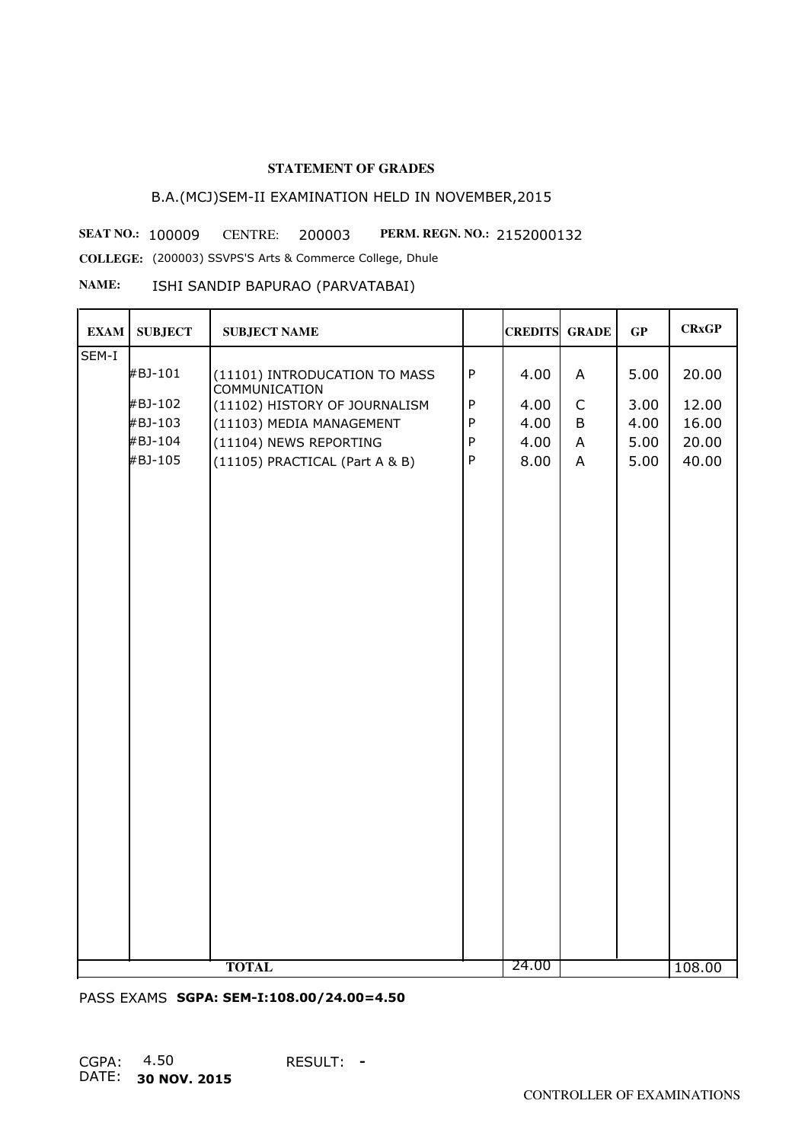# B.A.(MCJ)SEM-II EXAMINATION HELD IN NOVEMBER,2015

**SEAT NO.: 100009 CENTRE: 200003 PERM. REGN. NO.: 2152000132** 

**COLLEGE:** (200003) SSVPS'S Arts & Commerce College, Dhule

## **NAME:** ISHI SANDIP BAPURAO (PARVATABAI)

| <b>EXAM</b> | <b>SUBJECT</b> | <b>SUBJECT NAME</b>                                   |              | <b>CREDITS GRADE</b> |                | GP   | <b>CRxGP</b> |
|-------------|----------------|-------------------------------------------------------|--------------|----------------------|----------------|------|--------------|
| SEM-I       |                |                                                       |              |                      |                |      |              |
|             | #BJ-101        | (11101) INTRODUCATION TO MASS<br><b>COMMUNICATION</b> | $\sf P$      | 4.00                 | A              | 5.00 | 20.00        |
|             | #BJ-102        | (11102) HISTORY OF JOURNALISM                         | $\sf P$      | 4.00                 | $\mathsf C$    | 3.00 | 12.00        |
|             | #BJ-103        | (11103) MEDIA MANAGEMENT                              | ${\sf P}$    | 4.00                 | B              | 4.00 | 16.00        |
|             | #BJ-104        | (11104) NEWS REPORTING                                | ${\sf P}$    | 4.00                 | $\mathsf{A}$   | 5.00 | 20.00        |
|             | #BJ-105        | (11105) PRACTICAL (Part A & B)                        | $\mathsf{P}$ | 8.00                 | $\overline{A}$ | 5.00 | 40.00        |
|             |                |                                                       |              |                      |                |      |              |
|             |                | <b>TOTAL</b>                                          |              | 24.00                |                |      | 108.00       |

PASS EXAMS **SGPA: SEM-I:108.00/24.00=4.50**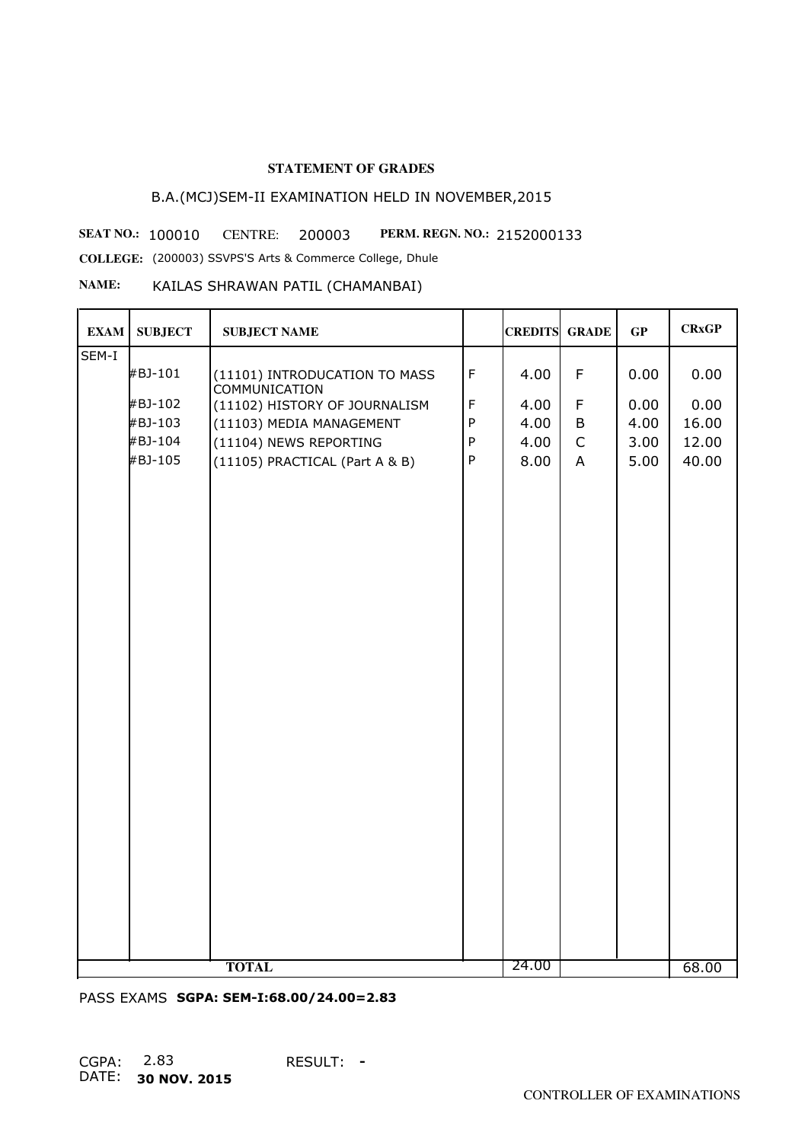# B.A.(MCJ)SEM-II EXAMINATION HELD IN NOVEMBER,2015

**SEAT NO.: 100010 CENTRE: 200003 PERM. REGN. NO.: 2152000133** 

**COLLEGE:** (200003) SSVPS'S Arts & Commerce College, Dhule

#### **NAME:** KAILAS SHRAWAN PATIL (CHAMANBAI)

| <b>EXAM</b> | <b>SUBJECT</b> | <b>SUBJECT NAME</b>                                   |              | <b>CREDITS GRADE</b> |                | GP   | <b>CRxGP</b> |
|-------------|----------------|-------------------------------------------------------|--------------|----------------------|----------------|------|--------------|
| SEM-I       |                |                                                       |              |                      |                |      |              |
|             | #BJ-101        | (11101) INTRODUCATION TO MASS<br><b>COMMUNICATION</b> | $\mathsf F$  | 4.00                 | $\mathsf F$    | 0.00 | 0.00         |
|             | #BJ-102        | (11102) HISTORY OF JOURNALISM                         | $\mathsf F$  | 4.00                 | $\mathsf F$    | 0.00 | 0.00         |
|             | #BJ-103        | (11103) MEDIA MANAGEMENT                              | $\mathsf{P}$ | 4.00                 | B              | 4.00 | 16.00        |
|             | #BJ-104        | (11104) NEWS REPORTING                                | ${\sf P}$    | 4.00                 | $\mathsf C$    | 3.00 | 12.00        |
|             | #BJ-105        | (11105) PRACTICAL (Part A & B)                        | ${\sf P}$    | 8.00                 | $\overline{A}$ | 5.00 | 40.00        |
|             |                | <b>TOTAL</b>                                          |              | 24.00                |                |      | 68.00        |
|             |                |                                                       |              |                      |                |      |              |

PASS EXAMS **SGPA: SEM-I:68.00/24.00=2.83**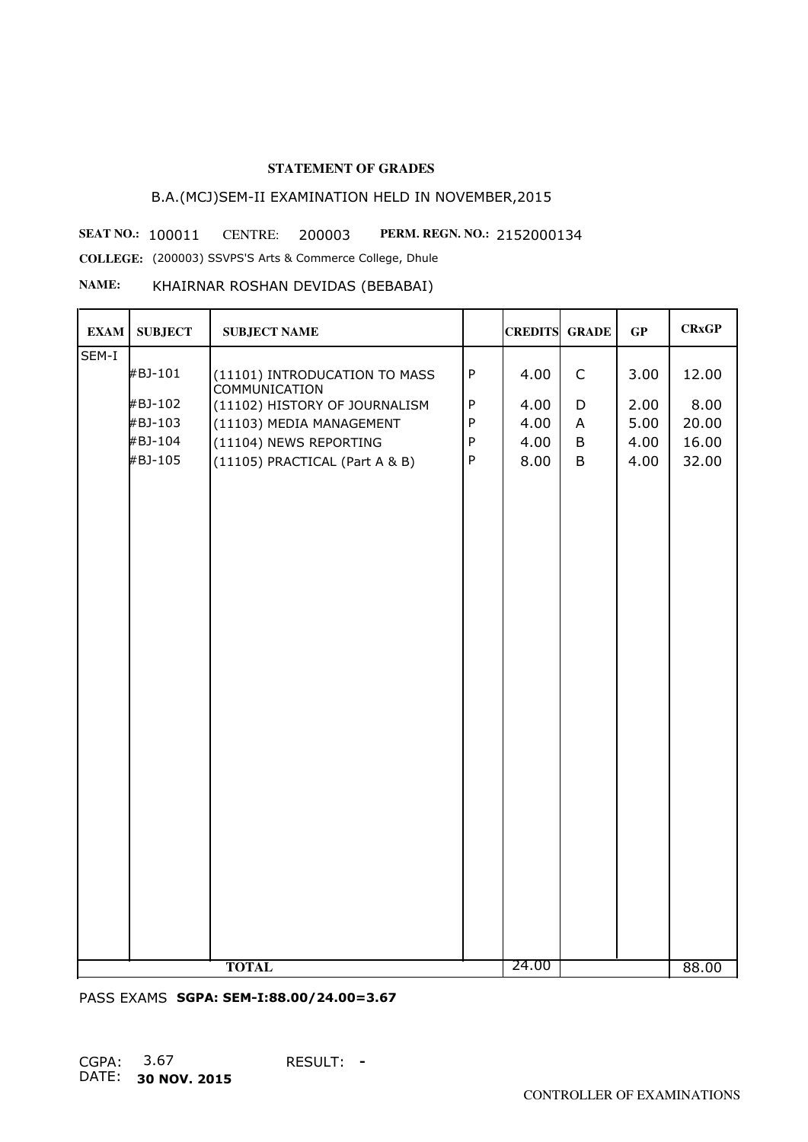# B.A.(MCJ)SEM-II EXAMINATION HELD IN NOVEMBER,2015

**SEAT NO.: 100011 CENTRE: 200003 PERM. REGN. NO.: 2152000134 COLLEGE:** (200003) SSVPS'S Arts & Commerce College, Dhule

#### **NAME:** KHAIRNAR ROSHAN DEVIDAS (BEBABAI)

| <b>EXAM</b> | <b>SUBJECT</b> | <b>SUBJECT NAME</b>                                   |           | <b>CREDITS GRADE</b> |             | GP   | <b>CRxGP</b> |
|-------------|----------------|-------------------------------------------------------|-----------|----------------------|-------------|------|--------------|
| SEM-I       |                |                                                       |           |                      |             |      |              |
|             | #BJ-101        | (11101) INTRODUCATION TO MASS<br><b>COMMUNICATION</b> | ${\sf P}$ | 4.00                 | $\mathsf C$ | 3.00 | 12.00        |
|             | #BJ-102        | (11102) HISTORY OF JOURNALISM                         | $\sf P$   | 4.00                 | D           | 2.00 | 8.00         |
|             | #BJ-103        | (11103) MEDIA MANAGEMENT                              | ${\sf P}$ | 4.00                 | A           | 5.00 | 20.00        |
|             | #BJ-104        | (11104) NEWS REPORTING                                | $\sf P$   | 4.00                 | B           | 4.00 | 16.00        |
|             | #BJ-105        | (11105) PRACTICAL (Part A & B)                        | $\sf P$   | 8.00                 | B           | 4.00 | 32.00        |
|             |                |                                                       |           |                      |             |      |              |
|             |                |                                                       |           |                      |             |      |              |
|             |                |                                                       |           |                      |             |      |              |
|             |                |                                                       |           |                      |             |      |              |
|             |                |                                                       |           |                      |             |      |              |
|             |                |                                                       |           |                      |             |      |              |
|             |                |                                                       |           |                      |             |      |              |
|             |                |                                                       |           |                      |             |      |              |
|             |                |                                                       |           |                      |             |      |              |
|             |                |                                                       |           |                      |             |      |              |
|             |                |                                                       |           |                      |             |      |              |
|             |                |                                                       |           |                      |             |      |              |
|             |                |                                                       |           |                      |             |      |              |
|             |                |                                                       |           |                      |             |      |              |
|             |                |                                                       |           |                      |             |      |              |
|             |                |                                                       |           |                      |             |      |              |
|             |                |                                                       |           |                      |             |      |              |
|             |                |                                                       |           |                      |             |      |              |
|             |                |                                                       |           |                      |             |      |              |
|             |                |                                                       |           |                      |             |      |              |
|             |                | <b>TOTAL</b>                                          |           | 24.00                |             |      | 88.00        |

PASS EXAMS **SGPA: SEM-I:88.00/24.00=3.67**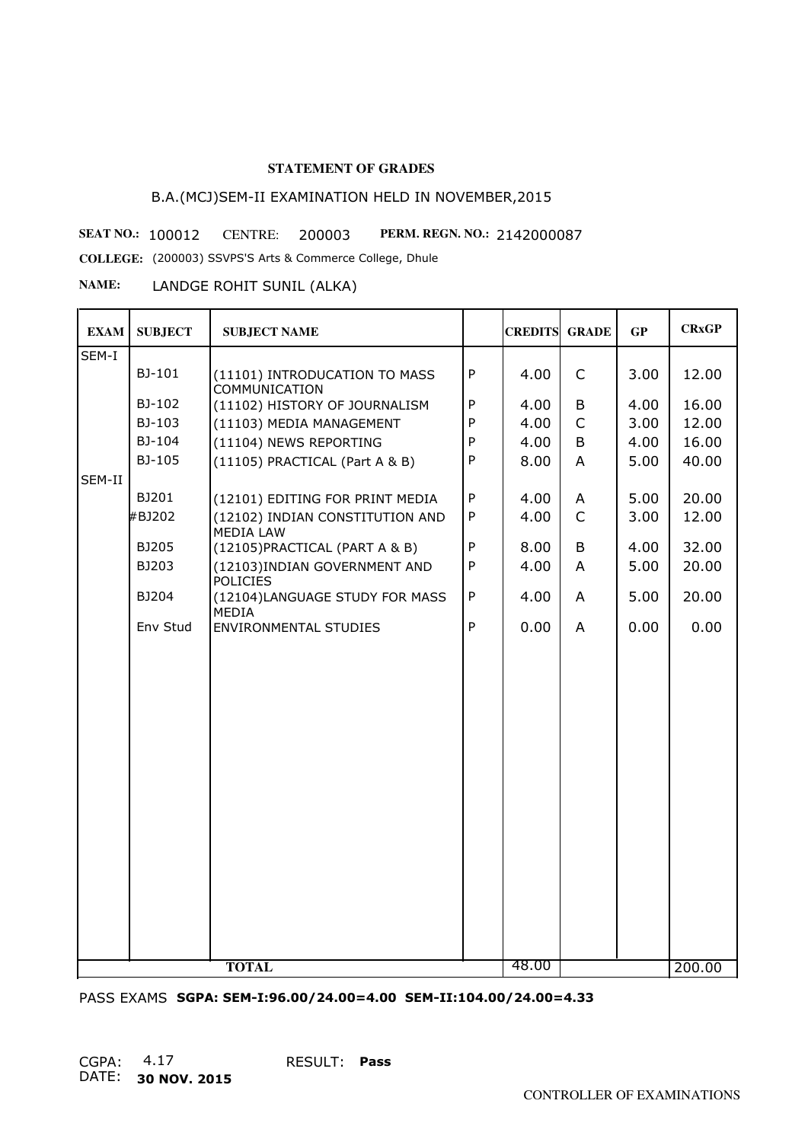# B.A.(MCJ)SEM-II EXAMINATION HELD IN NOVEMBER,2015

**SEAT NO.: 100012 CENTRE: 200003 PERM. REGN. NO.: 2142000087** 

**COLLEGE:** (200003) SSVPS'S Arts & Commerce College, Dhule

**NAME:** LANDGE ROHIT SUNIL (ALKA)

| <b>EXAM</b> | <b>SUBJECT</b> | <b>SUBJECT NAME</b>                                   |              | <b>CREDITS</b> | <b>GRADE</b> | GP   | <b>CRxGP</b> |
|-------------|----------------|-------------------------------------------------------|--------------|----------------|--------------|------|--------------|
| SEM-I       |                |                                                       |              |                |              |      |              |
|             | BJ-101         | (11101) INTRODUCATION TO MASS<br><b>COMMUNICATION</b> | $\mathsf{P}$ | 4.00           | $\mathsf{C}$ | 3.00 | 12.00        |
|             | BJ-102         | (11102) HISTORY OF JOURNALISM                         | ${\sf P}$    | 4.00           | B            | 4.00 | 16.00        |
|             | BJ-103         | (11103) MEDIA MANAGEMENT                              | P            | 4.00           | $\mathsf{C}$ | 3.00 | 12.00        |
|             | BJ-104         | (11104) NEWS REPORTING                                | $\mathsf{P}$ | 4.00           | B            | 4.00 | 16.00        |
|             | BJ-105         | (11105) PRACTICAL (Part A & B)                        | ${\sf P}$    | 8.00           | A            | 5.00 | 40.00        |
| SEM-II      |                |                                                       |              |                |              |      |              |
|             | BJ201          | (12101) EDITING FOR PRINT MEDIA                       | ${\sf P}$    | 4.00           | A            | 5.00 | 20.00        |
|             | #BJ202         | (12102) INDIAN CONSTITUTION AND<br>MEDIA LAW          | $\mathsf{P}$ | 4.00           | $\mathsf{C}$ | 3.00 | 12.00        |
|             | BJ205          | (12105) PRACTICAL (PART A & B)                        | ${\sf P}$    | 8.00           | B            | 4.00 | 32.00        |
|             | BJ203          | (12103) INDIAN GOVERNMENT AND<br><b>POLICIES</b>      | $\mathsf{P}$ | 4.00           | A            | 5.00 | 20.00        |
|             | BJ204          | (12104)LANGUAGE STUDY FOR MASS<br><b>MEDIA</b>        | ${\sf P}$    | 4.00           | A            | 5.00 | 20.00        |
|             | Env Stud       | <b>ENVIRONMENTAL STUDIES</b>                          | P            | 0.00           | A            | 0.00 | 0.00         |
|             |                |                                                       |              |                |              |      |              |
|             |                |                                                       |              |                |              |      |              |
|             |                |                                                       |              |                |              |      |              |
|             |                |                                                       |              |                |              |      |              |
|             |                |                                                       |              |                |              |      |              |
|             |                |                                                       |              |                |              |      |              |
|             |                |                                                       |              |                |              |      |              |
|             |                |                                                       |              |                |              |      |              |
|             |                |                                                       |              |                |              |      |              |
|             |                |                                                       |              |                |              |      |              |
|             |                |                                                       |              |                |              |      |              |
|             |                |                                                       |              |                |              |      |              |
|             |                |                                                       |              |                |              |      |              |
|             |                |                                                       |              |                |              |      |              |
|             |                |                                                       |              |                |              |      |              |
|             |                |                                                       |              |                |              |      |              |
|             |                | <b>TOTAL</b>                                          |              | 48.00          |              |      | 200.00       |

PASS EXAMS **SGPA: SEM-I:96.00/24.00=4.00 SEM-II:104.00/24.00=4.33**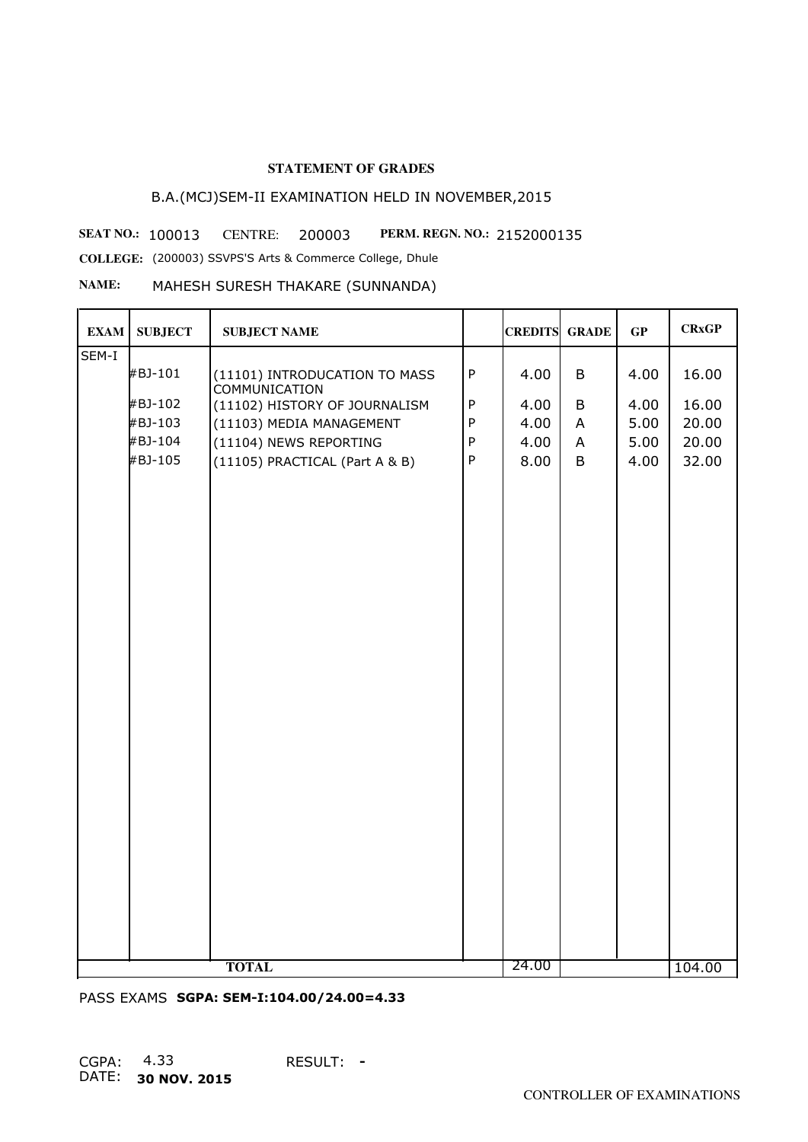# B.A.(MCJ)SEM-II EXAMINATION HELD IN NOVEMBER,2015

**SEAT NO.: 100013 CENTRE: 200003 PERM. REGN. NO.: 2152000135 COLLEGE:** (200003) SSVPS'S Arts & Commerce College, Dhule

**NAME:** MAHESH SURESH THAKARE (SUNNANDA)

| <b>EXAM</b> | <b>SUBJECT</b> | <b>SUBJECT NAME</b>                                   |              | <b>CREDITS</b> | <b>GRADE</b> | GP   | <b>CRxGP</b> |
|-------------|----------------|-------------------------------------------------------|--------------|----------------|--------------|------|--------------|
| SEM-I       |                |                                                       |              |                |              |      |              |
|             | #BJ-101        | (11101) INTRODUCATION TO MASS<br><b>COMMUNICATION</b> | ${\sf P}$    | 4.00           | B            | 4.00 | 16.00        |
|             | #BJ-102        | (11102) HISTORY OF JOURNALISM                         | ${\sf P}$    | 4.00           | B            | 4.00 | 16.00        |
|             | #BJ-103        | (11103) MEDIA MANAGEMENT                              | ${\sf P}$    | 4.00           | $\mathsf{A}$ | 5.00 | 20.00        |
|             | #BJ-104        | (11104) NEWS REPORTING                                | $\mathsf{P}$ | 4.00           | A            | 5.00 | 20.00        |
|             | #BJ-105        | (11105) PRACTICAL (Part A & B)                        | $\mathsf{P}$ | 8.00           | B            | 4.00 | 32.00        |
|             |                |                                                       |              |                |              |      |              |
|             |                | <b>TOTAL</b>                                          |              | 24.00          |              |      | 104.00       |

PASS EXAMS **SGPA: SEM-I:104.00/24.00=4.33**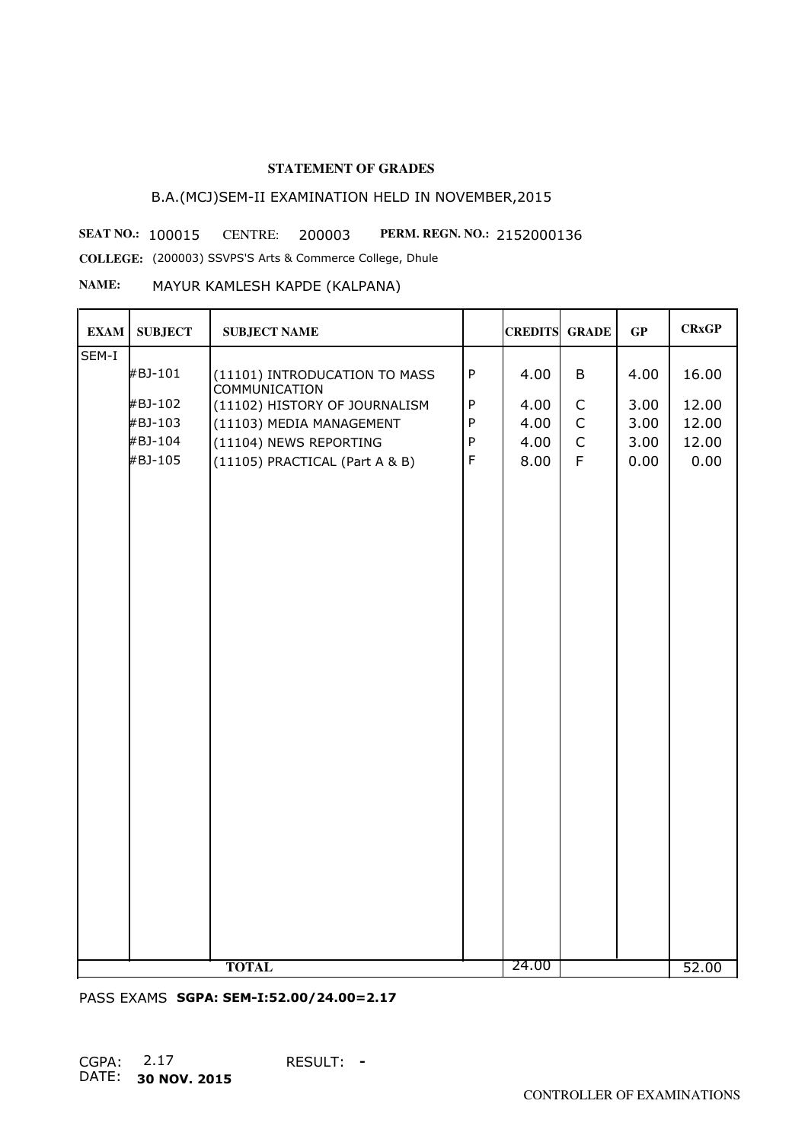# B.A.(MCJ)SEM-II EXAMINATION HELD IN NOVEMBER,2015

**SEAT NO.: 100015 CENTRE: 200003 PERM. REGN. NO.: 2152000136** 

**COLLEGE:** (200003) SSVPS'S Arts & Commerce College, Dhule

#### **NAME:** MAYUR KAMLESH KAPDE (KALPANA)

| <b>EXAM</b> | <b>SUBJECT</b> | <b>SUBJECT NAME</b>                                   |              | <b>CREDITS GRADE</b> |              | GP   | <b>CRxGP</b> |
|-------------|----------------|-------------------------------------------------------|--------------|----------------------|--------------|------|--------------|
| SEM-I       |                |                                                       |              |                      |              |      |              |
|             | #BJ-101        | (11101) INTRODUCATION TO MASS<br><b>COMMUNICATION</b> | $\mathsf{P}$ | 4.00                 | B            | 4.00 | 16.00        |
|             | #BJ-102        | (11102) HISTORY OF JOURNALISM                         | ${\sf P}$    | 4.00                 | $\mathsf C$  | 3.00 | 12.00        |
|             | #BJ-103        | (11103) MEDIA MANAGEMENT                              | ${\sf P}$    | 4.00                 | $\mathsf C$  | 3.00 | 12.00        |
|             | #BJ-104        | (11104) NEWS REPORTING                                | ${\sf P}$    | 4.00                 | $\mathsf{C}$ | 3.00 | 12.00        |
|             | #BJ-105        | (11105) PRACTICAL (Part A & B)                        | $\mathsf F$  | 8.00                 | F            | 0.00 | 0.00         |
|             |                |                                                       |              |                      |              |      |              |
|             |                |                                                       |              |                      |              |      |              |
|             |                |                                                       |              |                      |              |      |              |
|             |                |                                                       |              |                      |              |      |              |
|             |                |                                                       |              |                      |              |      |              |
|             |                |                                                       |              |                      |              |      |              |
|             |                |                                                       |              |                      |              |      |              |
|             |                |                                                       |              |                      |              |      |              |
|             |                |                                                       |              |                      |              |      |              |
|             |                |                                                       |              |                      |              |      |              |
|             |                |                                                       |              |                      |              |      |              |
|             |                |                                                       |              |                      |              |      |              |
|             |                |                                                       |              |                      |              |      |              |
|             |                |                                                       |              |                      |              |      |              |
|             |                |                                                       |              |                      |              |      |              |
|             |                |                                                       |              |                      |              |      |              |
|             |                |                                                       |              |                      |              |      |              |
|             |                |                                                       |              |                      |              |      |              |
|             |                |                                                       |              |                      |              |      |              |
|             |                |                                                       |              |                      |              |      |              |
|             |                |                                                       |              |                      |              |      |              |
|             |                |                                                       |              |                      |              |      |              |
|             |                | <b>TOTAL</b>                                          |              | 24.00                |              |      | 52.00        |

PASS EXAMS **SGPA: SEM-I:52.00/24.00=2.17**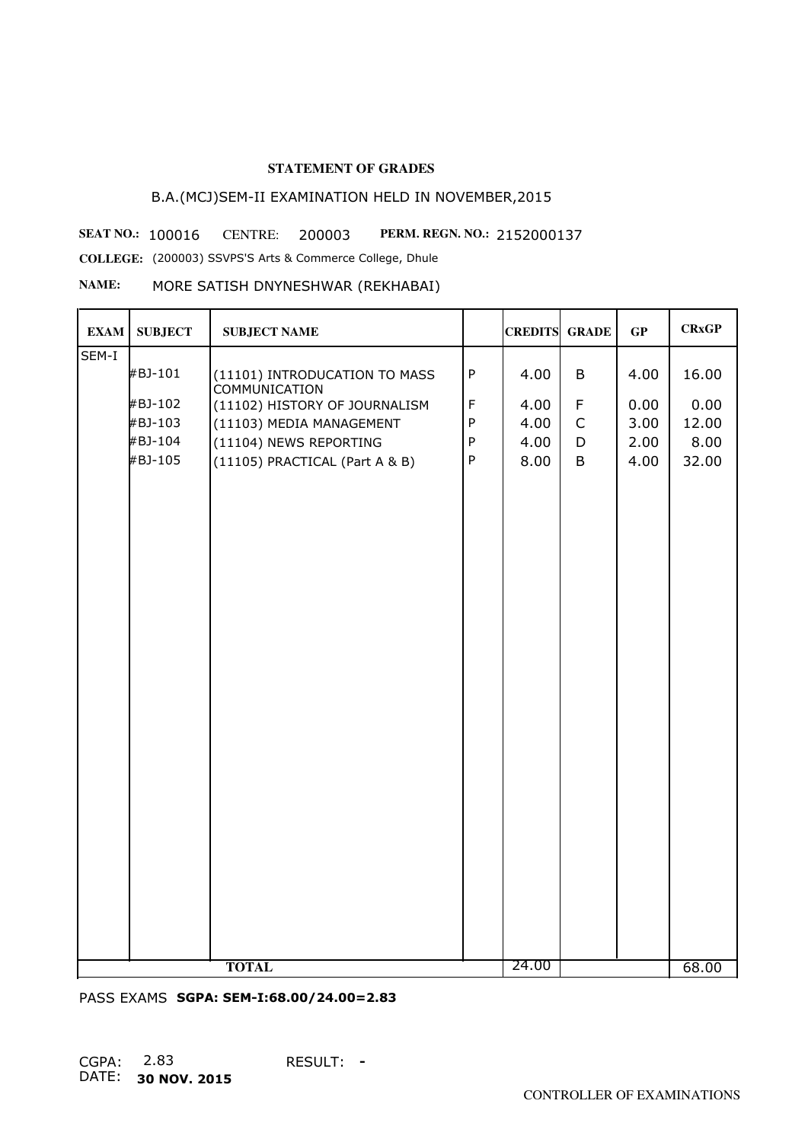# B.A.(MCJ)SEM-II EXAMINATION HELD IN NOVEMBER,2015

**SEAT NO.: 100016 CENTRE: 200003 PERM. REGN. NO.: 2152000137 COLLEGE:** (200003) SSVPS'S Arts & Commerce College, Dhule

**NAME:** MORE SATISH DNYNESHWAR (REKHABAI)

| <b>EXAM</b> | <b>SUBJECT</b> | <b>SUBJECT NAME</b>                                   |              | <b>CREDITS GRADE</b> |              | GP   | <b>CRxGP</b> |
|-------------|----------------|-------------------------------------------------------|--------------|----------------------|--------------|------|--------------|
| SEM-I       |                |                                                       |              |                      |              |      |              |
|             | #BJ-101        | (11101) INTRODUCATION TO MASS<br><b>COMMUNICATION</b> | $\mathsf{P}$ | 4.00                 | B            | 4.00 | 16.00        |
|             | #BJ-102        | (11102) HISTORY OF JOURNALISM                         | $\mathsf F$  | 4.00                 | F            | 0.00 | 0.00         |
|             | #BJ-103        | (11103) MEDIA MANAGEMENT                              | $\sf P$      | 4.00                 | $\mathsf{C}$ | 3.00 | 12.00        |
|             | #BJ-104        | (11104) NEWS REPORTING                                | $\mathsf{P}$ | 4.00                 | D            | 2.00 | 8.00         |
|             | #BJ-105        | (11105) PRACTICAL (Part A & B)                        | $\sf P$      | 8.00                 | B            | 4.00 | 32.00        |
|             |                | <b>TOTAL</b>                                          |              | 24.00                |              |      |              |
|             |                |                                                       |              |                      |              |      | 68.00        |

PASS EXAMS **SGPA: SEM-I:68.00/24.00=2.83**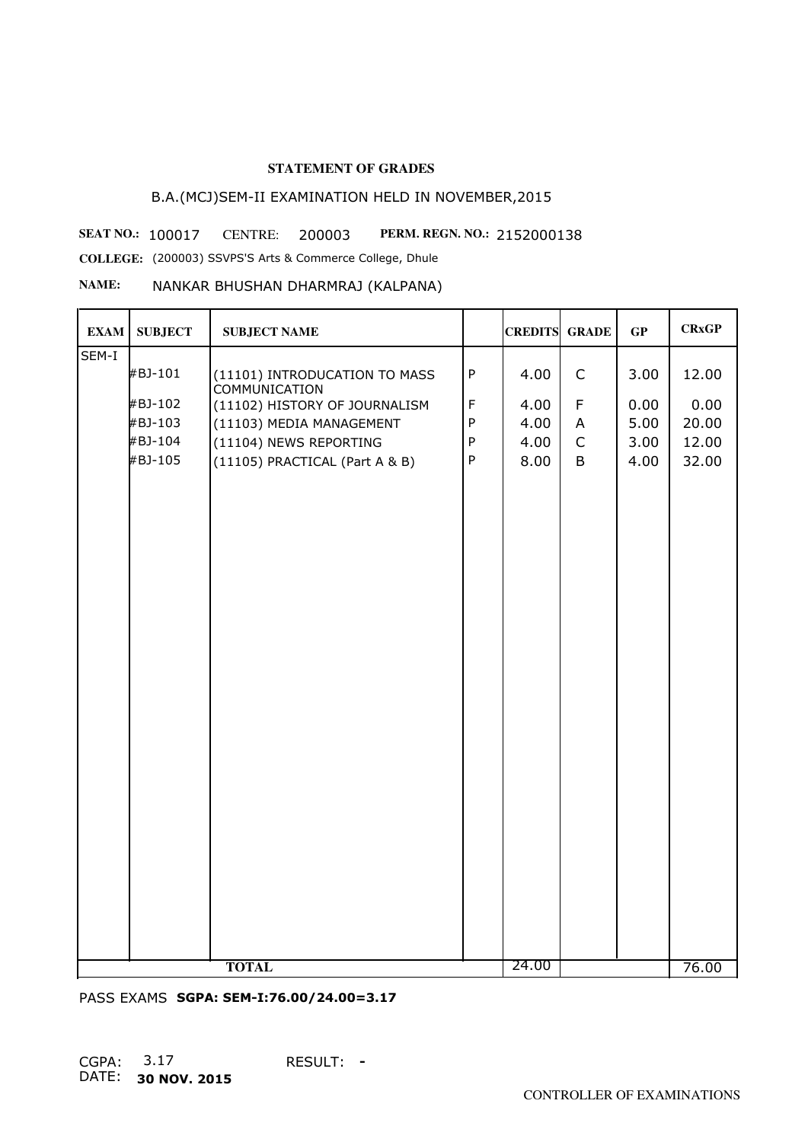# B.A.(MCJ)SEM-II EXAMINATION HELD IN NOVEMBER,2015

**SEAT NO.: 100017 CENTRE: 200003 PERM. REGN. NO.: 2152000138 COLLEGE:** (200003) SSVPS'S Arts & Commerce College, Dhule

**NAME:** NANKAR BHUSHAN DHARMRAJ (KALPANA)

| <b>EXAM</b> | <b>SUBJECT</b> | <b>SUBJECT NAME</b>                                   |             | <b>CREDITS GRADE</b> |              | GP   | <b>CRxGP</b> |
|-------------|----------------|-------------------------------------------------------|-------------|----------------------|--------------|------|--------------|
| SEM-I       |                |                                                       |             |                      |              |      |              |
|             | #BJ-101        | (11101) INTRODUCATION TO MASS<br><b>COMMUNICATION</b> | $\sf P$     | 4.00                 | $\mathsf{C}$ | 3.00 | 12.00        |
|             | #BJ-102        | (11102) HISTORY OF JOURNALISM                         | $\mathsf F$ | 4.00                 | F            | 0.00 | 0.00         |
|             | #BJ-103        | (11103) MEDIA MANAGEMENT                              | $\sf P$     | 4.00                 | A            | 5.00 | 20.00        |
|             | #BJ-104        | (11104) NEWS REPORTING                                | ${\sf P}$   | 4.00                 | $\mathsf C$  | 3.00 | 12.00        |
|             | #BJ-105        | (11105) PRACTICAL (Part A & B)                        | $\sf P$     | 8.00                 | B            | 4.00 | 32.00        |
|             |                |                                                       |             | 24.00                |              |      |              |
|             |                | <b>TOTAL</b>                                          |             |                      |              |      | 76.00        |

PASS EXAMS **SGPA: SEM-I:76.00/24.00=3.17**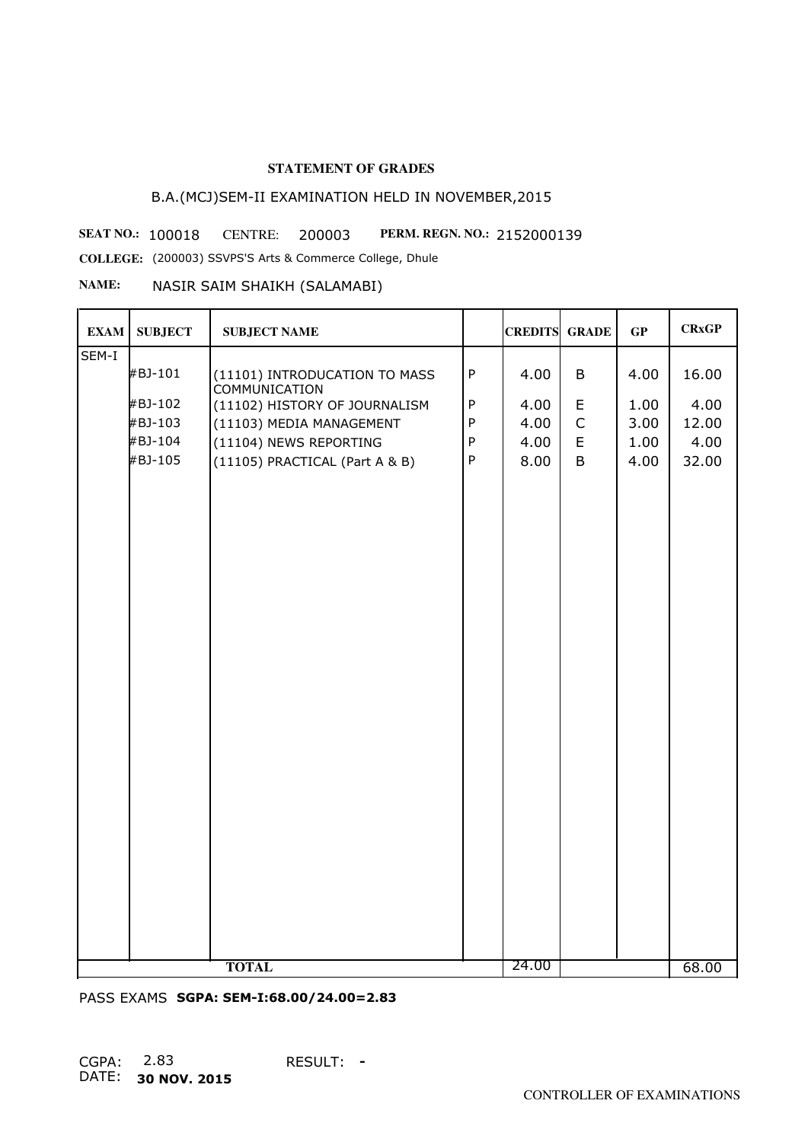# B.A.(MCJ)SEM-II EXAMINATION HELD IN NOVEMBER,2015

**SEAT NO.: 100018 CENTRE: 200003 PERM. REGN. NO.: 2152000139** 

**COLLEGE:** (200003) SSVPS'S Arts & Commerce College, Dhule

#### **NAME:** NASIR SAIM SHAIKH (SALAMABI)

| <b>EXAM</b> | <b>SUBJECT</b> | <b>SUBJECT NAME</b>                                   |              | <b>CREDITS GRADE</b> |              | GP   | <b>CRxGP</b> |
|-------------|----------------|-------------------------------------------------------|--------------|----------------------|--------------|------|--------------|
| SEM-I       |                |                                                       |              |                      |              |      |              |
|             | #BJ-101        | (11101) INTRODUCATION TO MASS<br><b>COMMUNICATION</b> | $\sf P$      | 4.00                 | B            | 4.00 | 16.00        |
|             | #BJ-102        | (11102) HISTORY OF JOURNALISM                         | $\sf P$      | 4.00                 | E            | 1.00 | 4.00         |
|             | #BJ-103        | (11103) MEDIA MANAGEMENT                              | ${\sf P}$    | 4.00                 | $\mathsf{C}$ | 3.00 | 12.00        |
|             | #BJ-104        | (11104) NEWS REPORTING                                | ${\sf P}$    | 4.00                 | $\mathsf E$  | 1.00 | 4.00         |
|             | #BJ-105        | (11105) PRACTICAL (Part A & B)                        | $\mathsf{P}$ | 8.00                 | B            | 4.00 | 32.00        |
|             |                |                                                       |              |                      |              |      |              |
|             |                | <b>TOTAL</b>                                          |              | 24.00                |              |      | 68.00        |

PASS EXAMS **SGPA: SEM-I:68.00/24.00=2.83**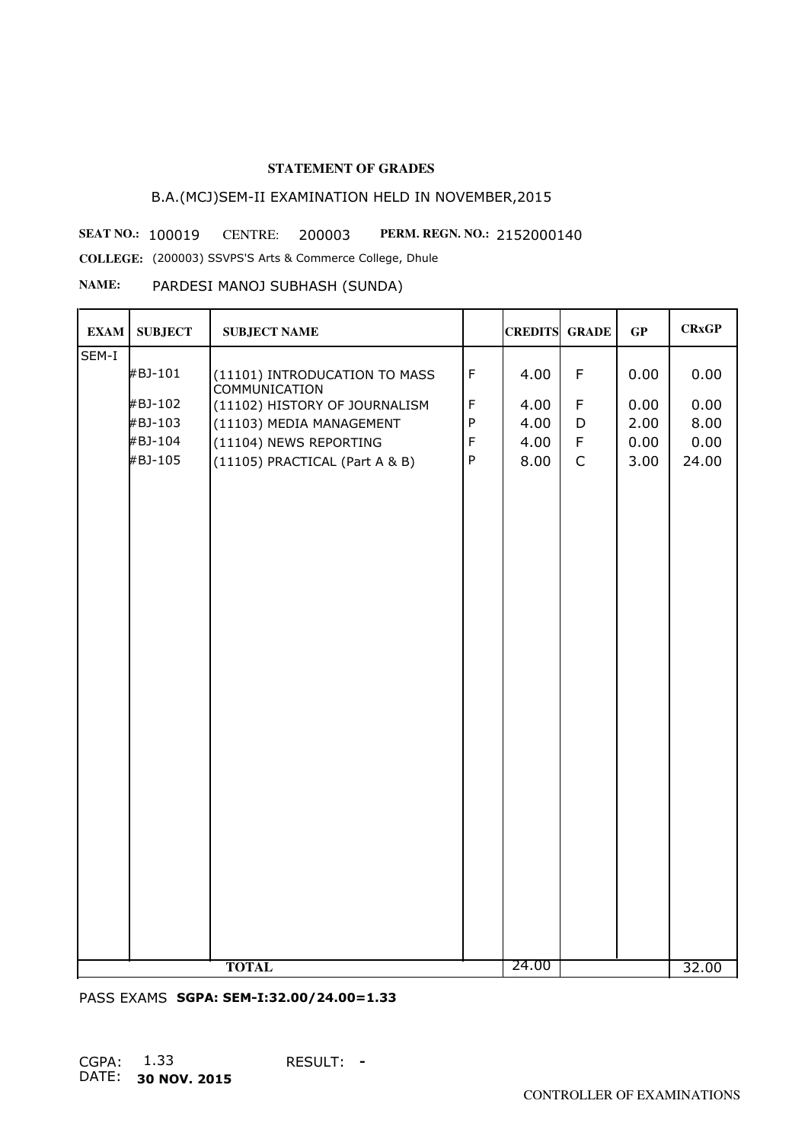# B.A.(MCJ)SEM-II EXAMINATION HELD IN NOVEMBER,2015

**SEAT NO.: 100019 CENTRE: 200003 PERM. REGN. NO.: 2152000140** 

**COLLEGE:** (200003) SSVPS'S Arts & Commerce College, Dhule

#### **NAME:** PARDESI MANOJ SUBHASH (SUNDA)

| <b>EXAM</b> | <b>SUBJECT</b> | <b>SUBJECT NAME</b>                                   |             | <b>CREDITS GRADE</b> |              | GP   | <b>CRxGP</b> |
|-------------|----------------|-------------------------------------------------------|-------------|----------------------|--------------|------|--------------|
| SEM-I       |                |                                                       |             |                      |              |      |              |
|             | #BJ-101        | (11101) INTRODUCATION TO MASS<br><b>COMMUNICATION</b> | $\mathsf F$ | 4.00                 | $\mathsf F$  | 0.00 | 0.00         |
|             | #BJ-102        | (11102) HISTORY OF JOURNALISM                         | $\mathsf F$ | 4.00                 | $\mathsf F$  | 0.00 | 0.00         |
|             | #BJ-103        | (11103) MEDIA MANAGEMENT                              | ${\sf P}$   | 4.00                 | D            | 2.00 | 8.00         |
|             | #BJ-104        | (11104) NEWS REPORTING                                | $\mathsf F$ | 4.00                 | $\mathsf F$  | 0.00 | 0.00         |
|             | #BJ-105        | (11105) PRACTICAL (Part A & B)                        | $\sf P$     | 8.00                 | $\mathsf{C}$ | 3.00 | 24.00        |
|             |                |                                                       |             |                      |              |      |              |
|             |                |                                                       |             |                      |              |      |              |
|             |                |                                                       |             |                      |              |      |              |
|             |                |                                                       |             |                      |              |      |              |
|             |                |                                                       |             |                      |              |      |              |
|             |                |                                                       |             |                      |              |      |              |
|             |                |                                                       |             |                      |              |      |              |
|             |                |                                                       |             |                      |              |      |              |
|             |                |                                                       |             |                      |              |      |              |
|             |                |                                                       |             |                      |              |      |              |
|             |                |                                                       |             |                      |              |      |              |
|             |                |                                                       |             |                      |              |      |              |
|             |                |                                                       |             |                      |              |      |              |
|             |                |                                                       |             |                      |              |      |              |
|             |                |                                                       |             |                      |              |      |              |
|             |                |                                                       |             |                      |              |      |              |
|             |                |                                                       |             |                      |              |      |              |
|             |                |                                                       |             |                      |              |      |              |
|             |                |                                                       |             |                      |              |      |              |
|             |                |                                                       |             |                      |              |      |              |
|             |                |                                                       |             |                      |              |      |              |
|             |                |                                                       |             |                      |              |      |              |
|             |                |                                                       |             |                      |              |      |              |
|             |                | <b>TOTAL</b>                                          |             | 24.00                |              |      | 32.00        |

PASS EXAMS **SGPA: SEM-I:32.00/24.00=1.33**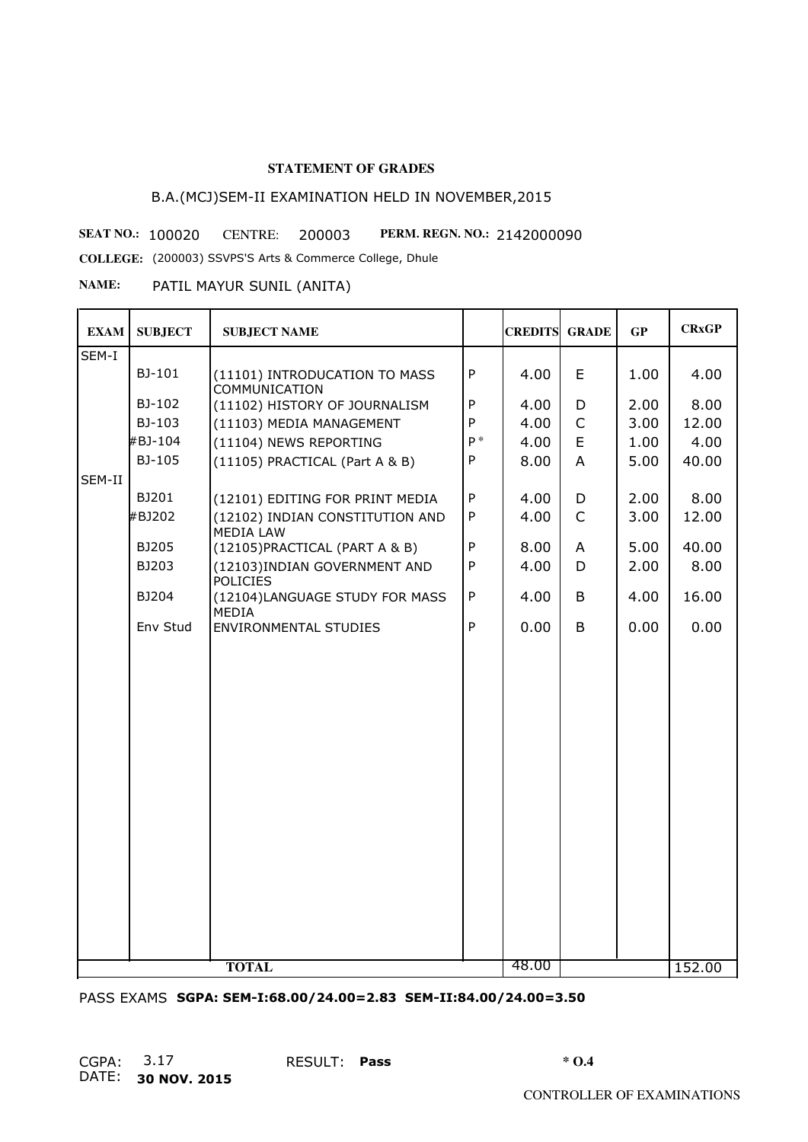# B.A.(MCJ)SEM-II EXAMINATION HELD IN NOVEMBER,2015

**SEAT NO.: 100020 CENTRE: 200003 PERM. REGN. NO.: 2142000090** 

**COLLEGE:** (200003) SSVPS'S Arts & Commerce College, Dhule

**NAME:** PATIL MAYUR SUNIL (ANITA)

| <b>EXAM</b> | <b>SUBJECT</b> | <b>SUBJECT NAME</b>                                   |              | <b>CREDITS</b> | <b>GRADE</b> | GP   | <b>CRxGP</b> |
|-------------|----------------|-------------------------------------------------------|--------------|----------------|--------------|------|--------------|
| SEM-I       |                |                                                       |              |                |              |      |              |
|             | BJ-101         | (11101) INTRODUCATION TO MASS<br><b>COMMUNICATION</b> | $\mathsf{P}$ | 4.00           | E            | 1.00 | 4.00         |
|             | BJ-102         | (11102) HISTORY OF JOURNALISM                         | ${\sf P}$    | 4.00           | D            | 2.00 | 8.00         |
|             | BJ-103         | (11103) MEDIA MANAGEMENT                              | P            | 4.00           | $\mathsf{C}$ | 3.00 | 12.00        |
|             | #BJ-104        | (11104) NEWS REPORTING                                | $P^*$        | 4.00           | E            | 1.00 | 4.00         |
|             | BJ-105         | (11105) PRACTICAL (Part A & B)                        | $\mathsf{P}$ | 8.00           | A            | 5.00 | 40.00        |
| SEM-II      |                |                                                       |              |                |              |      |              |
|             | BJ201          | (12101) EDITING FOR PRINT MEDIA                       | ${\sf P}$    | 4.00           | D            | 2.00 | 8.00         |
|             | #BJ202         | (12102) INDIAN CONSTITUTION AND<br><b>MEDIA LAW</b>   | $\mathsf{P}$ | 4.00           | $\mathsf{C}$ | 3.00 | 12.00        |
|             | BJ205          | (12105) PRACTICAL (PART A & B)                        | $\mathsf{P}$ | 8.00           | A            | 5.00 | 40.00        |
|             | BJ203          | (12103) INDIAN GOVERNMENT AND<br><b>POLICIES</b>      | $\mathsf{P}$ | 4.00           | D            | 2.00 | 8.00         |
|             | BJ204          | (12104)LANGUAGE STUDY FOR MASS<br><b>MEDIA</b>        | ${\sf P}$    | 4.00           | B            | 4.00 | 16.00        |
|             | Env Stud       | <b>ENVIRONMENTAL STUDIES</b>                          | P            | 0.00           | B            | 0.00 | 0.00         |
|             |                |                                                       |              |                |              |      |              |
|             |                |                                                       |              |                |              |      |              |
|             |                |                                                       |              |                |              |      |              |
|             |                |                                                       |              |                |              |      |              |
|             |                |                                                       |              |                |              |      |              |
|             |                |                                                       |              |                |              |      |              |
|             |                |                                                       |              |                |              |      |              |
|             |                |                                                       |              |                |              |      |              |
|             |                |                                                       |              |                |              |      |              |
|             |                |                                                       |              |                |              |      |              |
|             |                |                                                       |              |                |              |      |              |
|             |                |                                                       |              |                |              |      |              |
|             |                |                                                       |              |                |              |      |              |
|             |                |                                                       |              |                |              |      |              |
|             |                |                                                       |              |                |              |      |              |
|             |                |                                                       |              |                |              |      |              |
|             |                | <b>TOTAL</b>                                          |              | 48.00          |              |      | 152.00       |

PASS EXAMS **SGPA: SEM-I:68.00/24.00=2.83 SEM-II:84.00/24.00=3.50**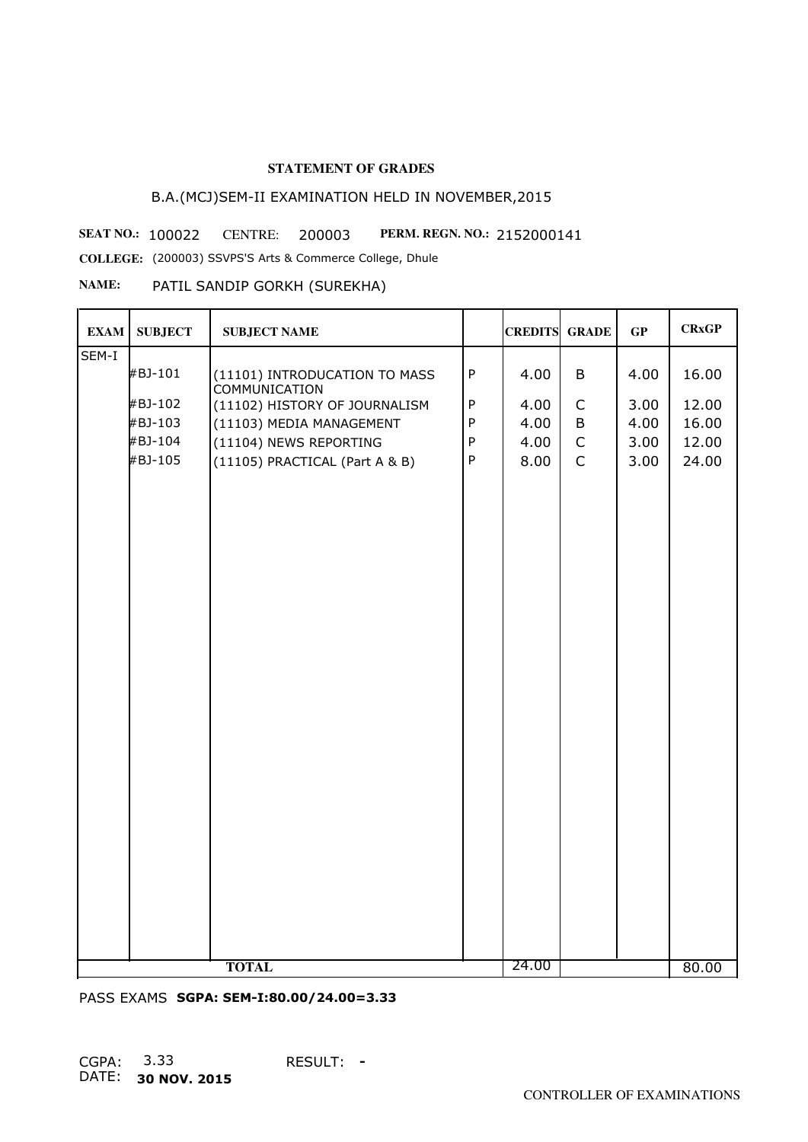# B.A.(MCJ)SEM-II EXAMINATION HELD IN NOVEMBER,2015

**SEAT NO.: 100022 CENTRE: 200003 PERM. REGN. NO.: 2152000141** 

**COLLEGE:** (200003) SSVPS'S Arts & Commerce College, Dhule

## **NAME:** PATIL SANDIP GORKH (SUREKHA)

| <b>EXAM</b> | <b>SUBJECT</b> | <b>SUBJECT NAME</b>                                   |              | <b>CREDITS GRADE</b> |              | GP   | <b>CRxGP</b> |
|-------------|----------------|-------------------------------------------------------|--------------|----------------------|--------------|------|--------------|
| SEM-I       |                |                                                       |              |                      |              |      |              |
|             | #BJ-101        | (11101) INTRODUCATION TO MASS<br><b>COMMUNICATION</b> | $\sf P$      | 4.00                 | B            | 4.00 | 16.00        |
|             | #BJ-102        | (11102) HISTORY OF JOURNALISM                         | $\mathsf{P}$ | 4.00                 | $\mathsf C$  | 3.00 | 12.00        |
|             | #BJ-103        | (11103) MEDIA MANAGEMENT                              | ${\sf P}$    | 4.00                 | B            | 4.00 | 16.00        |
|             | #BJ-104        | (11104) NEWS REPORTING                                | ${\sf P}$    | 4.00                 | $\mathsf C$  | 3.00 | 12.00        |
|             | #BJ-105        | (11105) PRACTICAL (Part A & B)                        | $\sf P$      | 8.00                 | $\mathsf{C}$ | 3.00 | 24.00        |
|             |                |                                                       |              |                      |              |      |              |
|             |                | <b>TOTAL</b>                                          |              | 24.00                |              |      | 80.00        |

PASS EXAMS **SGPA: SEM-I:80.00/24.00=3.33**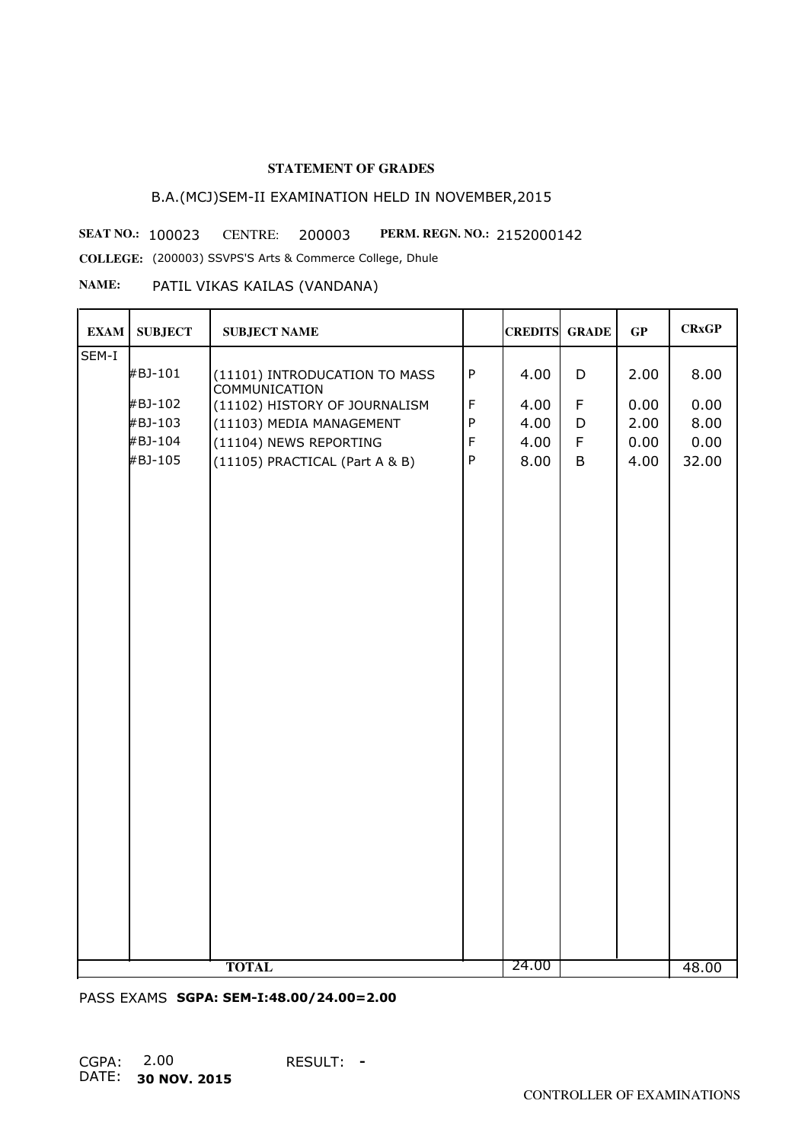# B.A.(MCJ)SEM-II EXAMINATION HELD IN NOVEMBER,2015

**SEAT NO.: 100023 CENTRE: 200003 PERM. REGN. NO.: 2152000142** 

**COLLEGE:** (200003) SSVPS'S Arts & Commerce College, Dhule

## **NAME:** PATIL VIKAS KAILAS (VANDANA)

| SEM-I<br>${\sf P}$<br>#BJ-101<br>4.00<br>D<br>2.00<br>(11101) INTRODUCATION TO MASS<br><b>COMMUNICATION</b><br>$\mathsf F$<br>#BJ-102<br>F<br>(11102) HISTORY OF JOURNALISM<br>4.00<br>0.00<br>${\sf P}$<br>#BJ-103<br>4.00<br>2.00<br>(11103) MEDIA MANAGEMENT<br>D | 8.00<br>0.00<br>8.00<br>0.00<br>32.00 |
|----------------------------------------------------------------------------------------------------------------------------------------------------------------------------------------------------------------------------------------------------------------------|---------------------------------------|
|                                                                                                                                                                                                                                                                      |                                       |
|                                                                                                                                                                                                                                                                      |                                       |
|                                                                                                                                                                                                                                                                      |                                       |
|                                                                                                                                                                                                                                                                      |                                       |
| #BJ-104<br>$\mathsf F$<br>$\mathsf F$<br>4.00<br>0.00<br>(11104) NEWS REPORTING                                                                                                                                                                                      |                                       |
| #BJ-105<br>${\sf P}$<br>8.00<br>B<br>4.00<br>(11105) PRACTICAL (Part A & B)                                                                                                                                                                                          |                                       |
|                                                                                                                                                                                                                                                                      |                                       |
| 24.00<br><b>TOTAL</b>                                                                                                                                                                                                                                                | 48.00                                 |

PASS EXAMS **SGPA: SEM-I:48.00/24.00=2.00**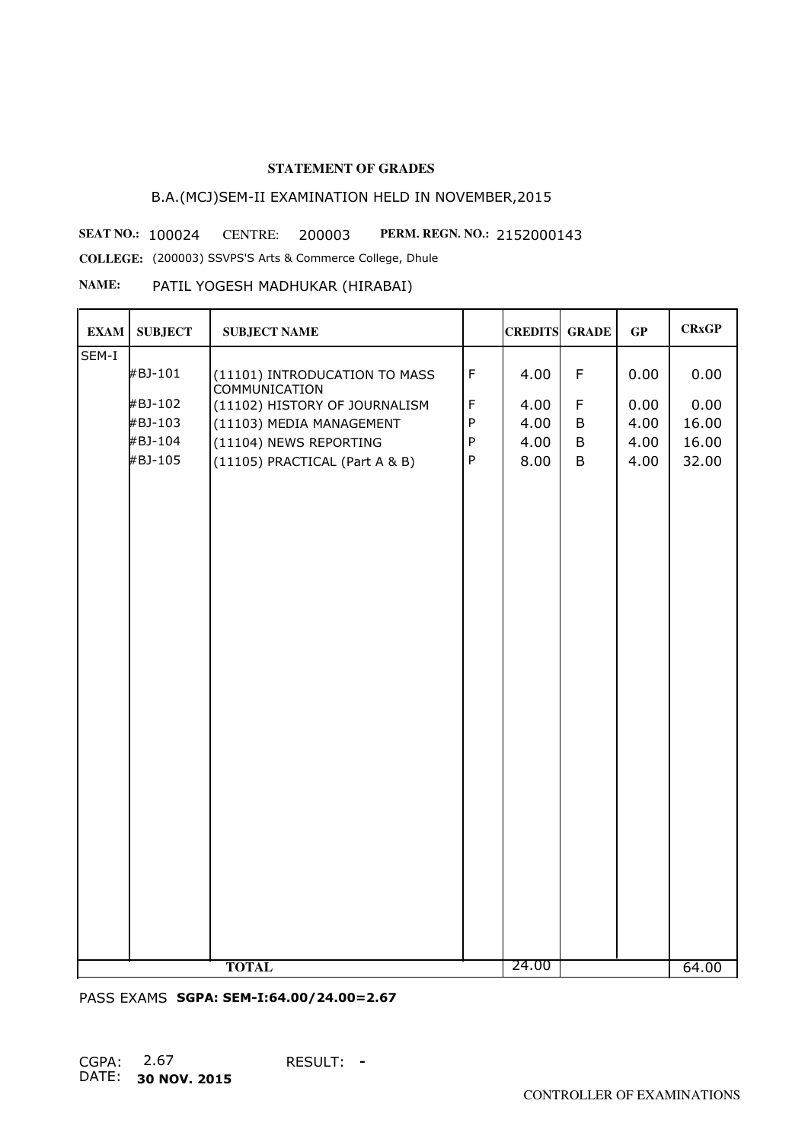# B.A.(MCJ)SEM-II EXAMINATION HELD IN NOVEMBER,2015

**SEAT NO.: 100024 CENTRE: 200003 PERM. REGN. NO.: 2152000143** 

**COLLEGE:** (200003) SSVPS'S Arts & Commerce College, Dhule

#### **NAME:** PATIL YOGESH MADHUKAR (HIRABAI)

| <b>EXAM</b> | <b>SUBJECT</b> | <b>SUBJECT NAME</b>                                   |             | <b>CREDITS GRADE</b> |   | GP   | <b>CRxGP</b> |
|-------------|----------------|-------------------------------------------------------|-------------|----------------------|---|------|--------------|
| SEM-I       |                |                                                       |             |                      |   |      |              |
|             | #BJ-101        | (11101) INTRODUCATION TO MASS<br><b>COMMUNICATION</b> | $\mathsf F$ | 4.00                 | F | 0.00 | 0.00         |
|             | #BJ-102        | (11102) HISTORY OF JOURNALISM                         | $\mathsf F$ | 4.00                 | F | 0.00 | 0.00         |
|             | #BJ-103        | (11103) MEDIA MANAGEMENT                              | ${\sf P}$   | 4.00                 | B | 4.00 | 16.00        |
|             | #BJ-104        | (11104) NEWS REPORTING                                | $\sf P$     | 4.00                 | B | 4.00 | 16.00        |
|             | #BJ-105        | (11105) PRACTICAL (Part A & B)                        | $\sf P$     | 8.00                 | B | 4.00 | 32.00        |
|             |                |                                                       |             |                      |   |      |              |
|             |                | <b>TOTAL</b>                                          |             | 24.00                |   |      | 64.00        |

PASS EXAMS **SGPA: SEM-I:64.00/24.00=2.67**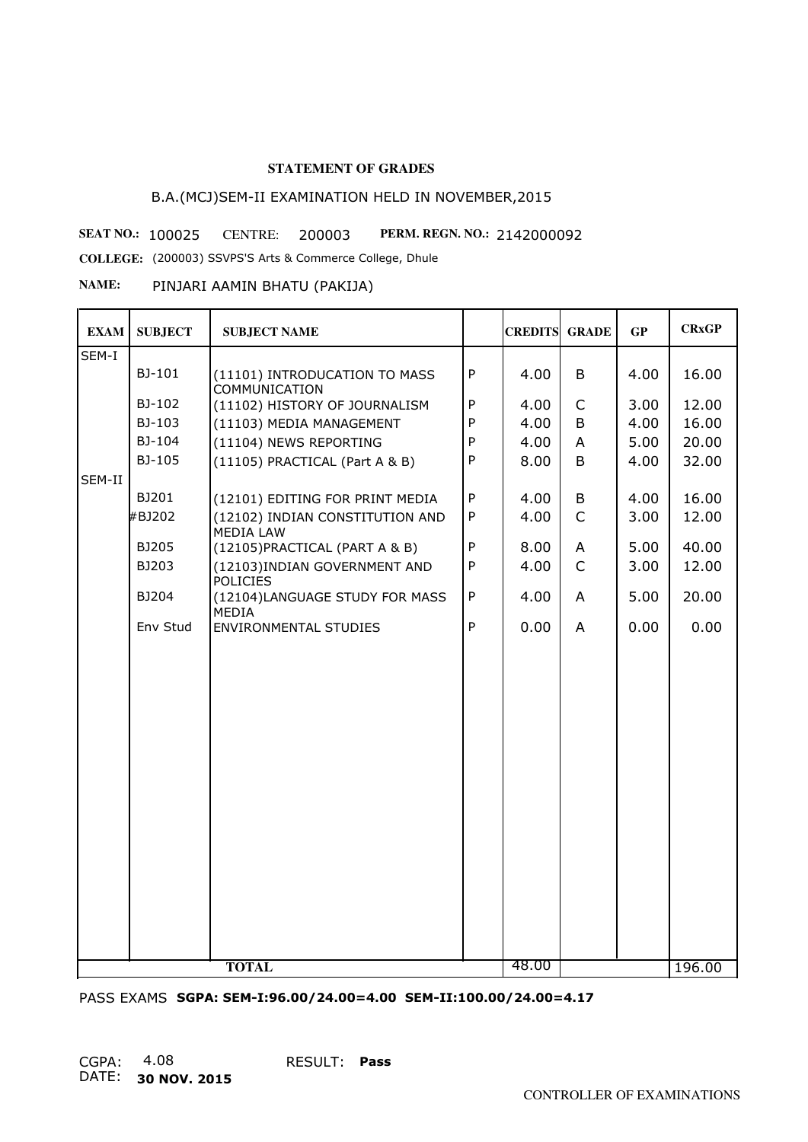# B.A.(MCJ)SEM-II EXAMINATION HELD IN NOVEMBER,2015

**SEAT NO.: 100025 CENTRE: 200003 PERM. REGN. NO.: 2142000092** 

**COLLEGE:** (200003) SSVPS'S Arts & Commerce College, Dhule

#### **NAME:** PINJARI AAMIN BHATU (PAKIJA)

| <b>EXAM</b> | <b>SUBJECT</b> | <b>SUBJECT NAME</b>                                   |              | <b>CREDITS GRADE</b> |                | GP   | <b>CRxGP</b> |
|-------------|----------------|-------------------------------------------------------|--------------|----------------------|----------------|------|--------------|
| SEM-I       |                |                                                       |              |                      |                |      |              |
|             | BJ-101         | (11101) INTRODUCATION TO MASS<br><b>COMMUNICATION</b> | P            | 4.00                 | B              | 4.00 | 16.00        |
|             | BJ-102         | (11102) HISTORY OF JOURNALISM                         | ${\sf P}$    | 4.00                 | $\mathsf{C}$   | 3.00 | 12.00        |
|             | BJ-103         | (11103) MEDIA MANAGEMENT                              | P            | 4.00                 | B              | 4.00 | 16.00        |
|             | BJ-104         | (11104) NEWS REPORTING                                | P            | 4.00                 | A              | 5.00 | 20.00        |
|             | BJ-105         | (11105) PRACTICAL (Part A & B)                        | ${\sf P}$    | 8.00                 | B              | 4.00 | 32.00        |
| SEM-II      |                |                                                       |              |                      |                |      |              |
|             | BJ201          | (12101) EDITING FOR PRINT MEDIA                       | $\mathsf{P}$ | 4.00                 | B              | 4.00 | 16.00        |
|             | #BJ202         | (12102) INDIAN CONSTITUTION AND<br><b>MEDIA LAW</b>   | P            | 4.00                 | $\mathsf{C}$   | 3.00 | 12.00        |
|             | BJ205          | (12105) PRACTICAL (PART A & B)                        | ${\sf P}$    | 8.00                 | A              | 5.00 | 40.00        |
|             | BJ203          | (12103) INDIAN GOVERNMENT AND<br><b>POLICIES</b>      | $\mathsf{P}$ | 4.00                 | $\mathsf{C}$   | 3.00 | 12.00        |
|             | BJ204          | (12104)LANGUAGE STUDY FOR MASS<br><b>MEDIA</b>        | ${\sf P}$    | 4.00                 | A              | 5.00 | 20.00        |
|             | Env Stud       | <b>ENVIRONMENTAL STUDIES</b>                          | $\mathsf{P}$ | 0.00                 | $\overline{A}$ | 0.00 | 0.00         |
|             |                |                                                       |              |                      |                |      |              |
|             |                |                                                       |              |                      |                |      |              |
|             |                |                                                       |              |                      |                |      |              |
|             |                |                                                       |              |                      |                |      |              |
|             |                |                                                       |              |                      |                |      |              |
|             |                |                                                       |              |                      |                |      |              |
|             |                |                                                       |              |                      |                |      |              |
|             |                |                                                       |              |                      |                |      |              |
|             |                |                                                       |              |                      |                |      |              |
|             |                |                                                       |              |                      |                |      |              |
|             |                |                                                       |              |                      |                |      |              |
|             |                |                                                       |              |                      |                |      |              |
|             |                |                                                       |              |                      |                |      |              |
|             |                |                                                       |              |                      |                |      |              |
|             |                |                                                       |              |                      |                |      |              |
|             |                |                                                       |              |                      |                |      |              |
|             |                | <b>TOTAL</b>                                          |              | 48.00                |                |      | 196.00       |

PASS EXAMS **SGPA: SEM-I:96.00/24.00=4.00 SEM-II:100.00/24.00=4.17**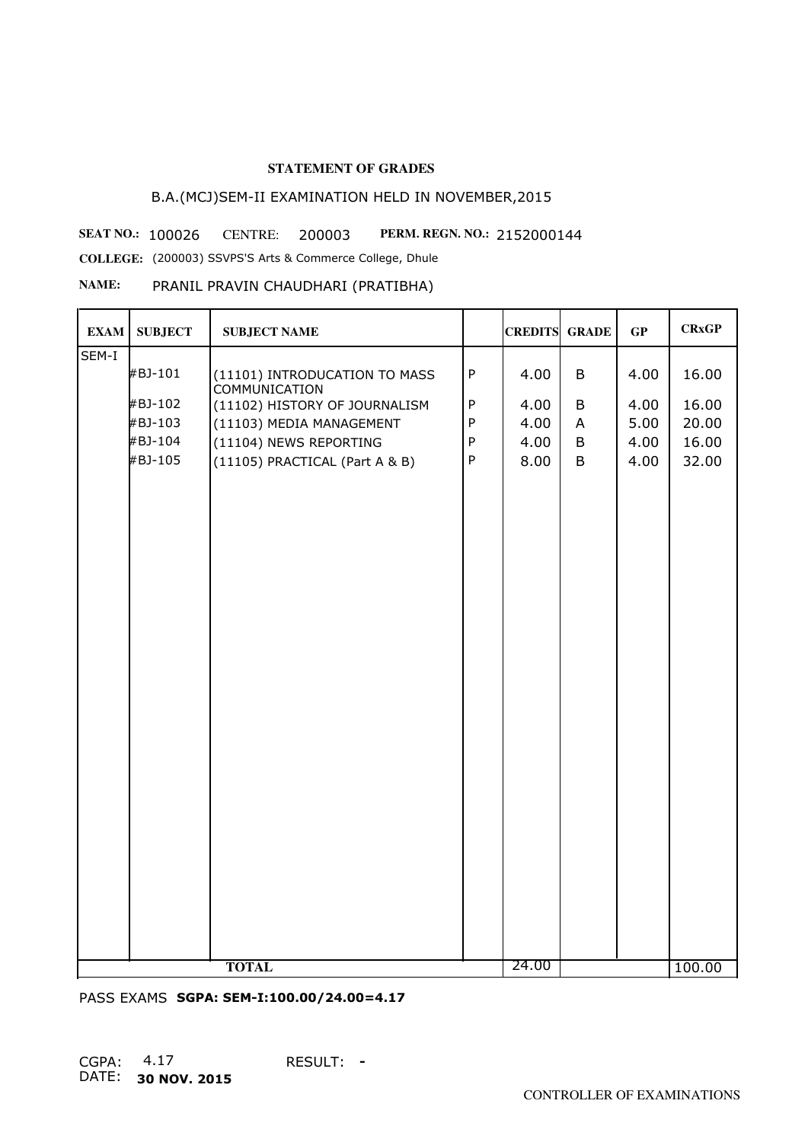# B.A.(MCJ)SEM-II EXAMINATION HELD IN NOVEMBER,2015

**SEAT NO.: 100026 CENTRE: 200003 PERM. REGN. NO.: 2152000144 COLLEGE:** (200003) SSVPS'S Arts & Commerce College, Dhule

#### **NAME:** PRANIL PRAVIN CHAUDHARI (PRATIBHA)

| <b>EXAM</b> | <b>SUBJECT</b> | <b>SUBJECT NAME</b>                                   |              | <b>CREDITS GRADE</b> |   | GP   | <b>CRxGP</b> |
|-------------|----------------|-------------------------------------------------------|--------------|----------------------|---|------|--------------|
| SEM-I       |                |                                                       |              |                      |   |      |              |
|             | #BJ-101        | (11101) INTRODUCATION TO MASS<br><b>COMMUNICATION</b> | $\sf P$      | 4.00                 | B | 4.00 | 16.00        |
|             | #BJ-102        | (11102) HISTORY OF JOURNALISM                         | $\sf P$      | 4.00                 | B | 4.00 | 16.00        |
|             | #BJ-103        | (11103) MEDIA MANAGEMENT                              | ${\sf P}$    | 4.00                 | A | 5.00 | 20.00        |
|             | #BJ-104        | (11104) NEWS REPORTING                                | $\sf P$      | 4.00                 | B | 4.00 | 16.00        |
|             | #BJ-105        | (11105) PRACTICAL (Part A & B)                        | $\mathsf{P}$ | 8.00                 | B | 4.00 | 32.00        |
|             |                |                                                       |              |                      |   |      |              |
|             |                | <b>TOTAL</b>                                          |              | 24.00                |   |      | 100.00       |

PASS EXAMS **SGPA: SEM-I:100.00/24.00=4.17**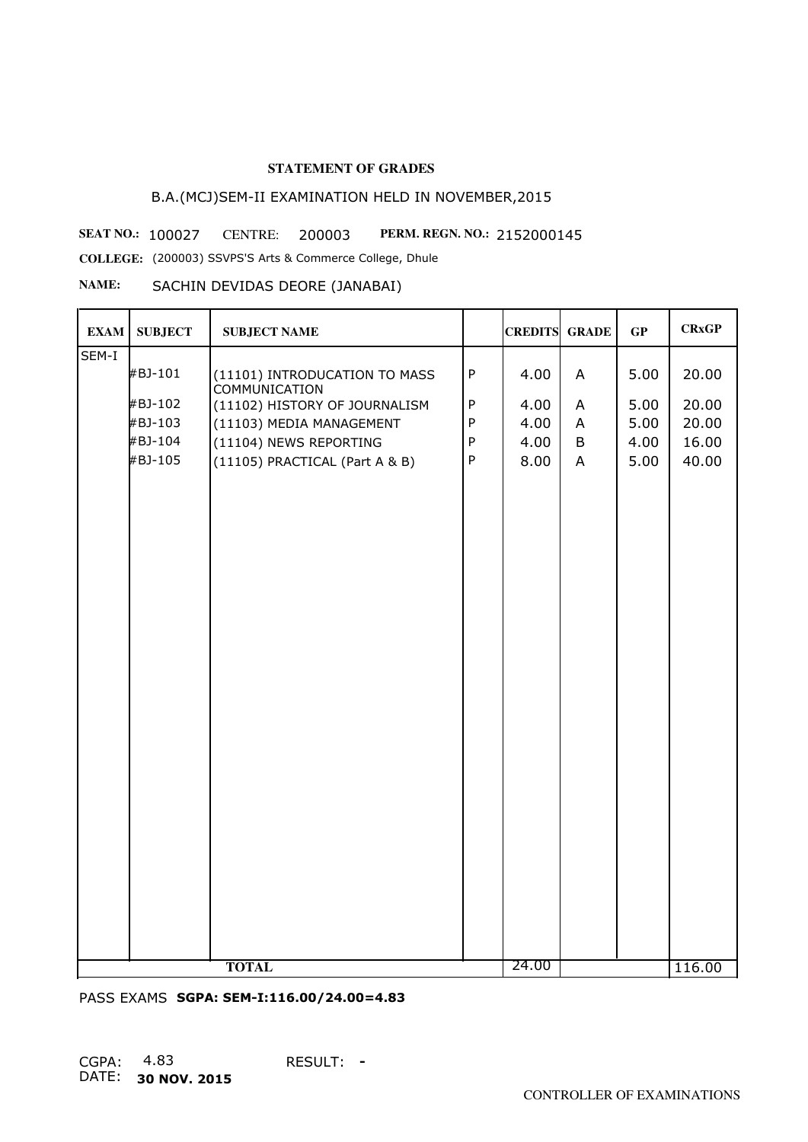# B.A.(MCJ)SEM-II EXAMINATION HELD IN NOVEMBER,2015

**SEAT NO.: 100027 CENTRE: 200003 PERM. REGN. NO.: 2152000145** 

**COLLEGE:** (200003) SSVPS'S Arts & Commerce College, Dhule

### **NAME:** SACHIN DEVIDAS DEORE (JANABAI)

| <b>EXAM</b> | <b>SUBJECT</b> | <b>SUBJECT NAME</b>                                   |              | <b>CREDITS GRADE</b> |              | GP   | <b>CRxGP</b> |
|-------------|----------------|-------------------------------------------------------|--------------|----------------------|--------------|------|--------------|
| SEM-I       |                |                                                       |              |                      |              |      |              |
|             | #BJ-101        | (11101) INTRODUCATION TO MASS<br><b>COMMUNICATION</b> | $\sf P$      | 4.00                 | $\mathsf{A}$ | 5.00 | 20.00        |
|             | #BJ-102        | (11102) HISTORY OF JOURNALISM                         | $\sf P$      | 4.00                 | A            | 5.00 | 20.00        |
|             | #BJ-103        | (11103) MEDIA MANAGEMENT                              | ${\sf P}$    | 4.00                 | A            | 5.00 | 20.00        |
|             | #BJ-104        | (11104) NEWS REPORTING                                | ${\sf P}$    | 4.00                 | B            | 4.00 | 16.00        |
|             | #BJ-105        | (11105) PRACTICAL (Part A & B)                        | $\mathsf{P}$ | 8.00                 | $\mathsf{A}$ | 5.00 | 40.00        |
|             |                |                                                       |              |                      |              |      |              |
|             |                | <b>TOTAL</b>                                          |              | 24.00                |              |      | 116.00       |

PASS EXAMS **SGPA: SEM-I:116.00/24.00=4.83**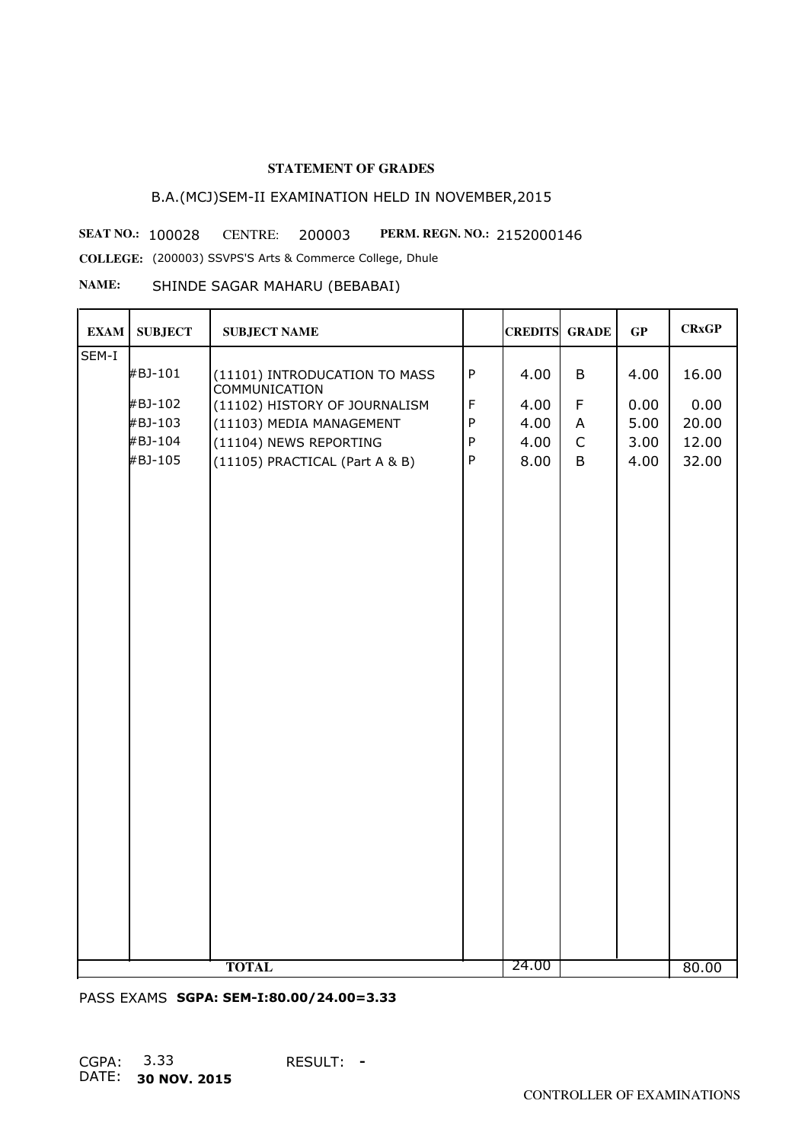# B.A.(MCJ)SEM-II EXAMINATION HELD IN NOVEMBER,2015

**SEAT NO.: 100028 CENTRE: 200003 PERM. REGN. NO.: 2152000146** 

**COLLEGE:** (200003) SSVPS'S Arts & Commerce College, Dhule

## **NAME:** SHINDE SAGAR MAHARU (BEBABAI)

| <b>EXAM</b> | <b>SUBJECT</b> | <b>SUBJECT NAME</b>                                   |              | <b>CREDITS GRADE</b> |              | GP   | <b>CRxGP</b> |
|-------------|----------------|-------------------------------------------------------|--------------|----------------------|--------------|------|--------------|
| SEM-I       |                |                                                       |              |                      |              |      |              |
|             | #BJ-101        | (11101) INTRODUCATION TO MASS<br><b>COMMUNICATION</b> | ${\sf P}$    | 4.00                 | B            | 4.00 | 16.00        |
|             | #BJ-102        | (11102) HISTORY OF JOURNALISM                         | $\mathsf F$  | 4.00                 | F            | 0.00 | 0.00         |
|             | #BJ-103        | (11103) MEDIA MANAGEMENT                              | ${\sf P}$    | 4.00                 | A            | 5.00 | 20.00        |
|             | #BJ-104        | (11104) NEWS REPORTING                                | ${\sf P}$    | 4.00                 | $\mathsf{C}$ | 3.00 | 12.00        |
|             | #BJ-105        | (11105) PRACTICAL (Part A & B)                        | $\mathsf{P}$ | 8.00                 | B            | 4.00 | 32.00        |
|             |                |                                                       |              |                      |              |      |              |
|             |                | <b>TOTAL</b>                                          |              | 24.00                |              |      | 80.00        |

PASS EXAMS **SGPA: SEM-I:80.00/24.00=3.33**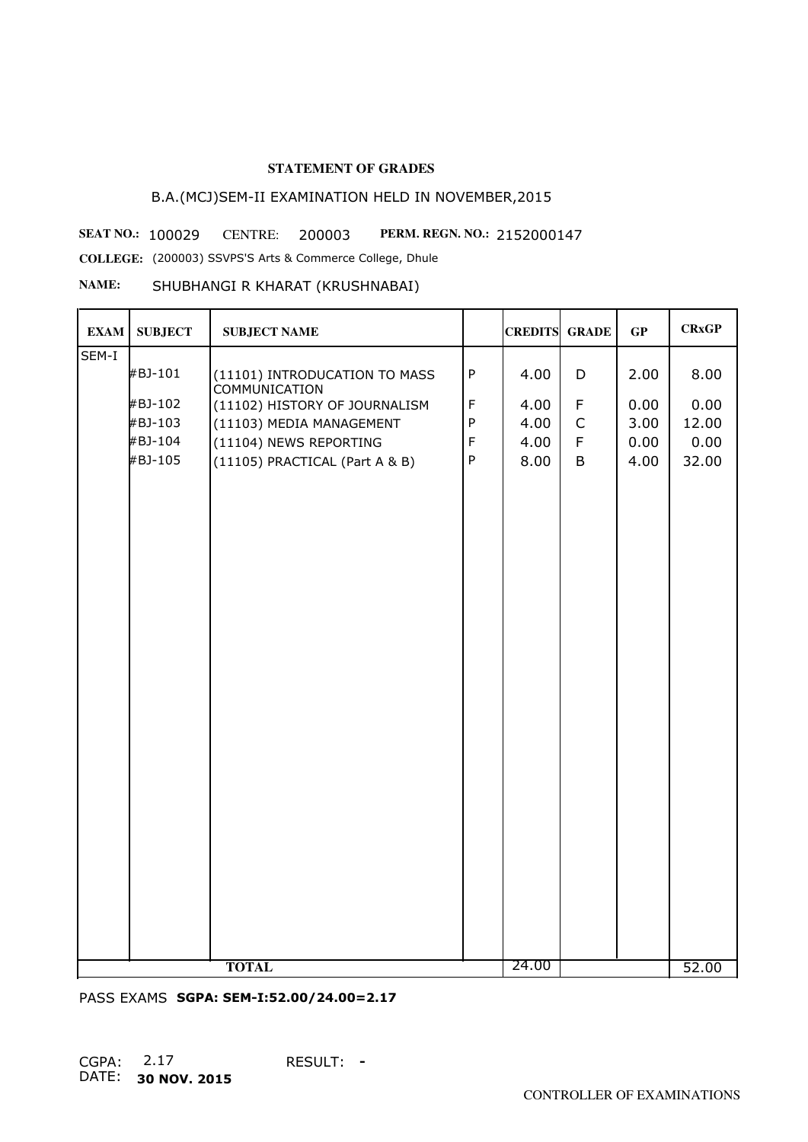# B.A.(MCJ)SEM-II EXAMINATION HELD IN NOVEMBER,2015

**SEAT NO.: 100029 CENTRE: 200003 PERM. REGN. NO.: 2152000147** 

**COLLEGE:** (200003) SSVPS'S Arts & Commerce College, Dhule

#### **NAME:** SHUBHANGI R KHARAT (KRUSHNABAI)

| <b>EXAM</b> | <b>SUBJECT</b> | <b>SUBJECT NAME</b>                                   |             | <b>CREDITS GRADE</b> |             | GP   | <b>CRxGP</b> |
|-------------|----------------|-------------------------------------------------------|-------------|----------------------|-------------|------|--------------|
| SEM-I       |                |                                                       |             |                      |             |      |              |
|             | #BJ-101        | (11101) INTRODUCATION TO MASS<br><b>COMMUNICATION</b> | ${\sf P}$   | 4.00                 | D           | 2.00 | 8.00         |
|             | #BJ-102        | (11102) HISTORY OF JOURNALISM                         | $\mathsf F$ | 4.00                 | $\mathsf F$ | 0.00 | 0.00         |
|             | #BJ-103        | (11103) MEDIA MANAGEMENT                              | ${\sf P}$   | 4.00                 | $\mathsf C$ | 3.00 | 12.00        |
|             | #BJ-104        | (11104) NEWS REPORTING                                | $\mathsf F$ | 4.00                 | $\mathsf F$ | 0.00 | 0.00         |
|             | #BJ-105        | (11105) PRACTICAL (Part A & B)                        | $\sf P$     | 8.00                 | B           | 4.00 | 32.00        |
|             |                |                                                       |             |                      |             |      |              |
|             |                |                                                       |             |                      |             |      |              |
|             |                |                                                       |             |                      |             |      |              |
|             |                |                                                       |             |                      |             |      |              |
|             |                |                                                       |             |                      |             |      |              |
|             |                |                                                       |             |                      |             |      |              |
|             |                |                                                       |             |                      |             |      |              |
|             |                |                                                       |             |                      |             |      |              |
|             |                |                                                       |             |                      |             |      |              |
|             |                |                                                       |             |                      |             |      |              |
|             |                |                                                       |             |                      |             |      |              |
|             |                |                                                       |             |                      |             |      |              |
|             |                |                                                       |             |                      |             |      |              |
|             |                |                                                       |             |                      |             |      |              |
|             |                |                                                       |             |                      |             |      |              |
|             |                |                                                       |             |                      |             |      |              |
|             |                |                                                       |             |                      |             |      |              |
|             |                |                                                       |             |                      |             |      |              |
|             |                |                                                       |             |                      |             |      |              |
|             |                |                                                       |             |                      |             |      |              |
|             |                |                                                       |             |                      |             |      |              |
|             |                |                                                       |             |                      |             |      |              |
|             |                |                                                       |             |                      |             |      |              |
|             |                | <b>TOTAL</b>                                          |             | 24.00                |             |      | 52.00        |

PASS EXAMS **SGPA: SEM-I:52.00/24.00=2.17**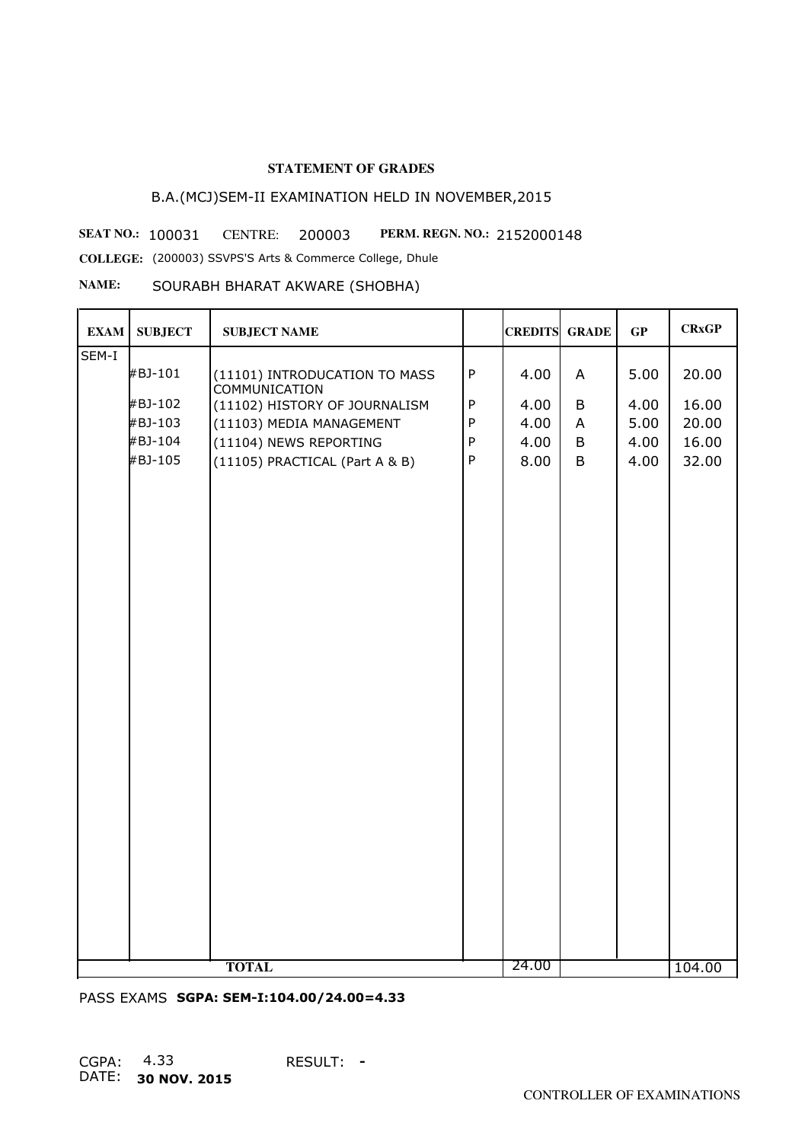# B.A.(MCJ)SEM-II EXAMINATION HELD IN NOVEMBER,2015

**SEAT NO.: 100031 CENTRE: 200003 PERM. REGN. NO.: 2152000148** 

**COLLEGE:** (200003) SSVPS'S Arts & Commerce College, Dhule

**NAME:** SOURABH BHARAT AKWARE (SHOBHA)

| <b>EXAM</b> | <b>SUBJECT</b> | <b>SUBJECT NAME</b>                                   |           | <b>CREDITS GRADE</b> |   | GP   | <b>CRxGP</b> |
|-------------|----------------|-------------------------------------------------------|-----------|----------------------|---|------|--------------|
| SEM-I       |                |                                                       |           |                      |   |      |              |
|             | #BJ-101        | (11101) INTRODUCATION TO MASS<br><b>COMMUNICATION</b> | ${\sf P}$ | 4.00                 | A | 5.00 | 20.00        |
|             | #BJ-102        | (11102) HISTORY OF JOURNALISM                         | ${\sf P}$ | 4.00                 | B | 4.00 | 16.00        |
|             | #BJ-103        | (11103) MEDIA MANAGEMENT                              | ${\sf P}$ | 4.00                 | A | 5.00 | 20.00        |
|             | #BJ-104        | (11104) NEWS REPORTING                                | ${\sf P}$ | 4.00                 | B | 4.00 | 16.00        |
|             | #BJ-105        | (11105) PRACTICAL (Part A & B)                        | ${\sf P}$ | 8.00                 | B | 4.00 | 32.00        |
|             |                |                                                       |           |                      |   |      |              |
|             |                | <b>TOTAL</b>                                          |           | 24.00                |   |      | 104.00       |

PASS EXAMS **SGPA: SEM-I:104.00/24.00=4.33**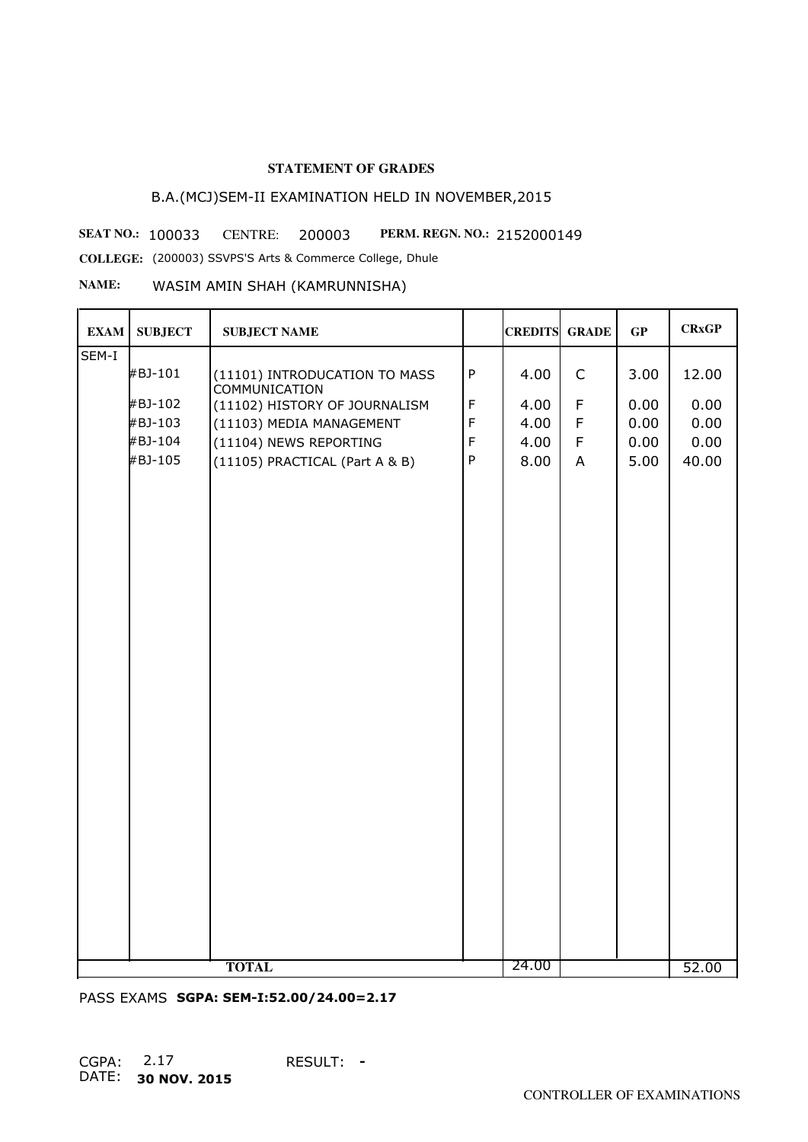# B.A.(MCJ)SEM-II EXAMINATION HELD IN NOVEMBER,2015

**SEAT NO.: 100033 CENTRE: 200003 PERM. REGN. NO.: 2152000149** 

**COLLEGE:** (200003) SSVPS'S Arts & Commerce College, Dhule

## **NAME:** WASIM AMIN SHAH (KAMRUNNISHA)

| <b>EXAM</b> | <b>SUBJECT</b> | <b>SUBJECT NAME</b>                                   |              | <b>CREDITS GRADE</b> |             | GP   | <b>CRxGP</b> |
|-------------|----------------|-------------------------------------------------------|--------------|----------------------|-------------|------|--------------|
| SEM-I       |                |                                                       |              |                      |             |      |              |
|             | #BJ-101        | (11101) INTRODUCATION TO MASS<br><b>COMMUNICATION</b> | $\sf P$      | 4.00                 | $\mathsf C$ | 3.00 | 12.00        |
|             | #BJ-102        | (11102) HISTORY OF JOURNALISM                         | $\mathsf F$  | 4.00                 | F           | 0.00 | 0.00         |
|             | #BJ-103        | (11103) MEDIA MANAGEMENT                              | $\mathsf F$  | 4.00                 | F           | 0.00 | 0.00         |
|             | #BJ-104        | (11104) NEWS REPORTING                                | $\mathsf F$  | 4.00                 | F           | 0.00 | 0.00         |
|             | #BJ-105        | (11105) PRACTICAL (Part A & B)                        | $\mathsf{P}$ | 8.00                 | A           | 5.00 | 40.00        |
|             |                |                                                       |              |                      |             |      |              |
|             |                | <b>TOTAL</b>                                          |              | 24.00                |             |      | 52.00        |

PASS EXAMS **SGPA: SEM-I:52.00/24.00=2.17**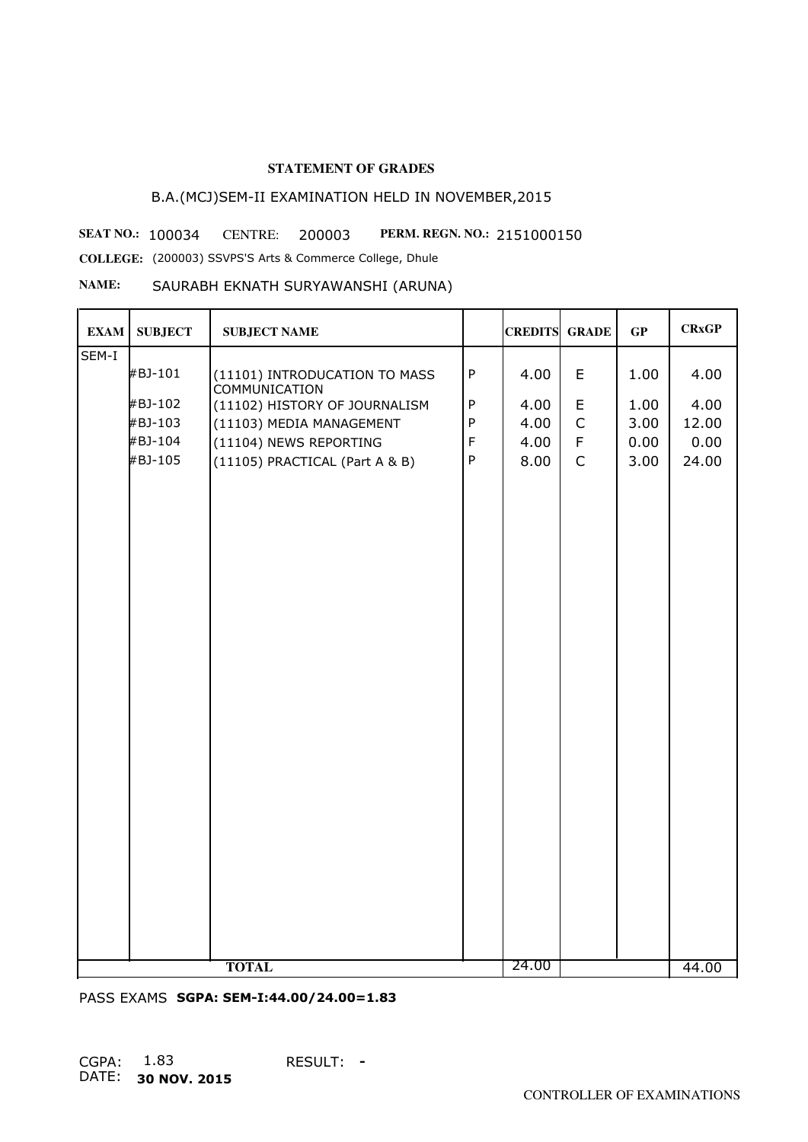# B.A.(MCJ)SEM-II EXAMINATION HELD IN NOVEMBER,2015

**SEAT NO.: 100034 CENTRE: 200003 PERM. REGN. NO.: 2151000150 COLLEGE:** (200003) SSVPS'S Arts & Commerce College, Dhule

#### **NAME:** SAURABH EKNATH SURYAWANSHI (ARUNA)

| <b>EXAM</b> | <b>SUBJECT</b> | <b>SUBJECT NAME</b>                                   |              | <b>CREDITS GRADE</b> |             | GP   | <b>CRxGP</b> |
|-------------|----------------|-------------------------------------------------------|--------------|----------------------|-------------|------|--------------|
| SEM-I       |                |                                                       |              |                      |             |      |              |
|             | #BJ-101        | (11101) INTRODUCATION TO MASS<br><b>COMMUNICATION</b> | $\sf P$      | 4.00                 | E           | 1.00 | 4.00         |
|             | #BJ-102        | (11102) HISTORY OF JOURNALISM                         | $\sf P$      | 4.00                 | E           | 1.00 | 4.00         |
|             | #BJ-103        | (11103) MEDIA MANAGEMENT                              | ${\sf P}$    | 4.00                 | $\mathsf C$ | 3.00 | 12.00        |
|             | #BJ-104        | (11104) NEWS REPORTING                                | $\mathsf F$  | 4.00                 | $\mathsf F$ | 0.00 | 0.00         |
|             | #BJ-105        | (11105) PRACTICAL (Part A & B)                        | $\mathsf{P}$ | 8.00                 | $\mathsf C$ | 3.00 | 24.00        |
|             |                |                                                       |              |                      |             |      |              |
|             |                | <b>TOTAL</b>                                          |              | 24.00                |             |      | 44.00        |

PASS EXAMS **SGPA: SEM-I:44.00/24.00=1.83**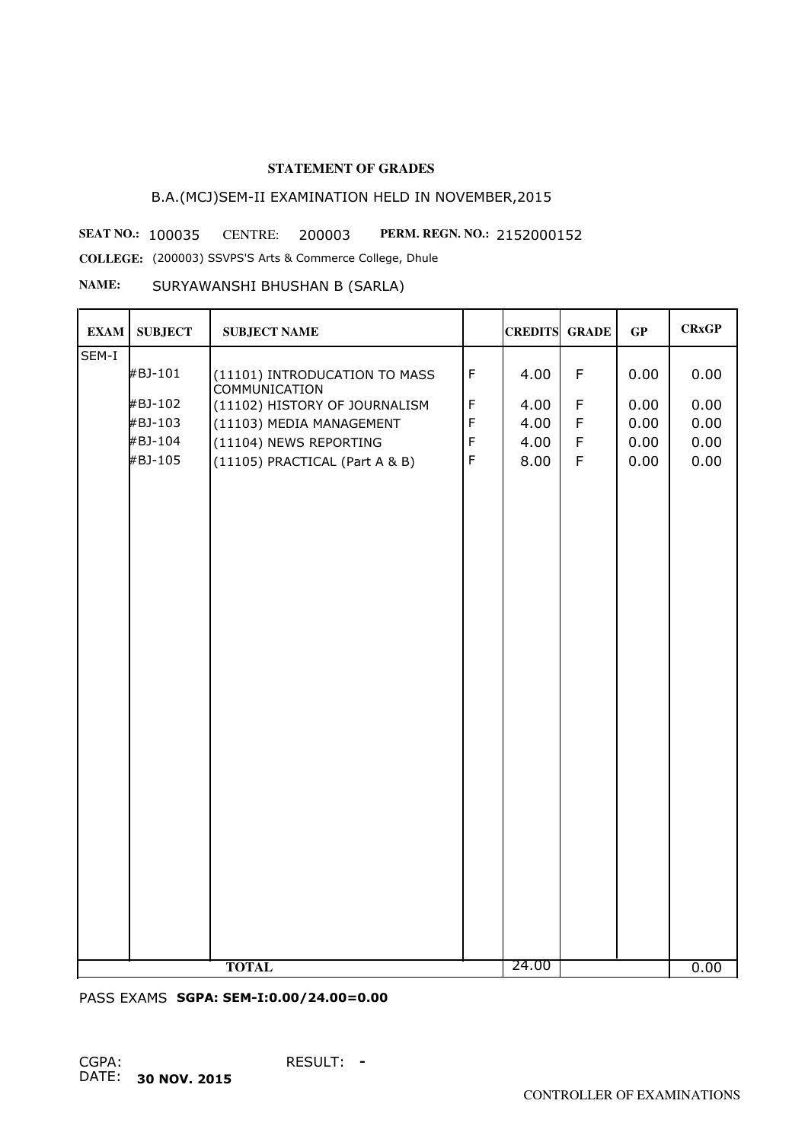# B.A.(MCJ)SEM-II EXAMINATION HELD IN NOVEMBER,2015

**SEAT NO.: 100035 CENTRE: 200003 PERM. REGN. NO.: 2152000152** 

**COLLEGE:** (200003) SSVPS'S Arts & Commerce College, Dhule

## **NAME:** SURYAWANSHI BHUSHAN B (SARLA)

| <b>EXAM</b> | <b>SUBJECT</b> | <b>SUBJECT NAME</b>                                   |             | <b>CREDITS GRADE</b> |             | GP   | <b>CRxGP</b> |
|-------------|----------------|-------------------------------------------------------|-------------|----------------------|-------------|------|--------------|
| SEM-I       |                |                                                       |             |                      |             |      |              |
|             | #BJ-101        | (11101) INTRODUCATION TO MASS<br><b>COMMUNICATION</b> | $\mathsf F$ | 4.00                 | $\mathsf F$ | 0.00 | 0.00         |
|             | #BJ-102        | (11102) HISTORY OF JOURNALISM                         | $\mathsf F$ | 4.00                 | $\mathsf F$ | 0.00 | 0.00         |
|             | #BJ-103        | (11103) MEDIA MANAGEMENT                              | $\mathsf F$ | 4.00                 | F           | 0.00 | 0.00         |
|             | #BJ-104        | (11104) NEWS REPORTING                                | $\mathsf F$ | 4.00                 | $\mathsf F$ | 0.00 | 0.00         |
|             | #BJ-105        | (11105) PRACTICAL (Part A & B)                        | $\mathsf F$ | 8.00                 | $\mathsf F$ | 0.00 | 0.00         |
|             |                |                                                       |             |                      |             |      |              |
|             |                | <b>TOTAL</b>                                          |             | 24.00                |             |      | 0.00         |

PASS EXAMS **SGPA: SEM-I:0.00/24.00=0.00**